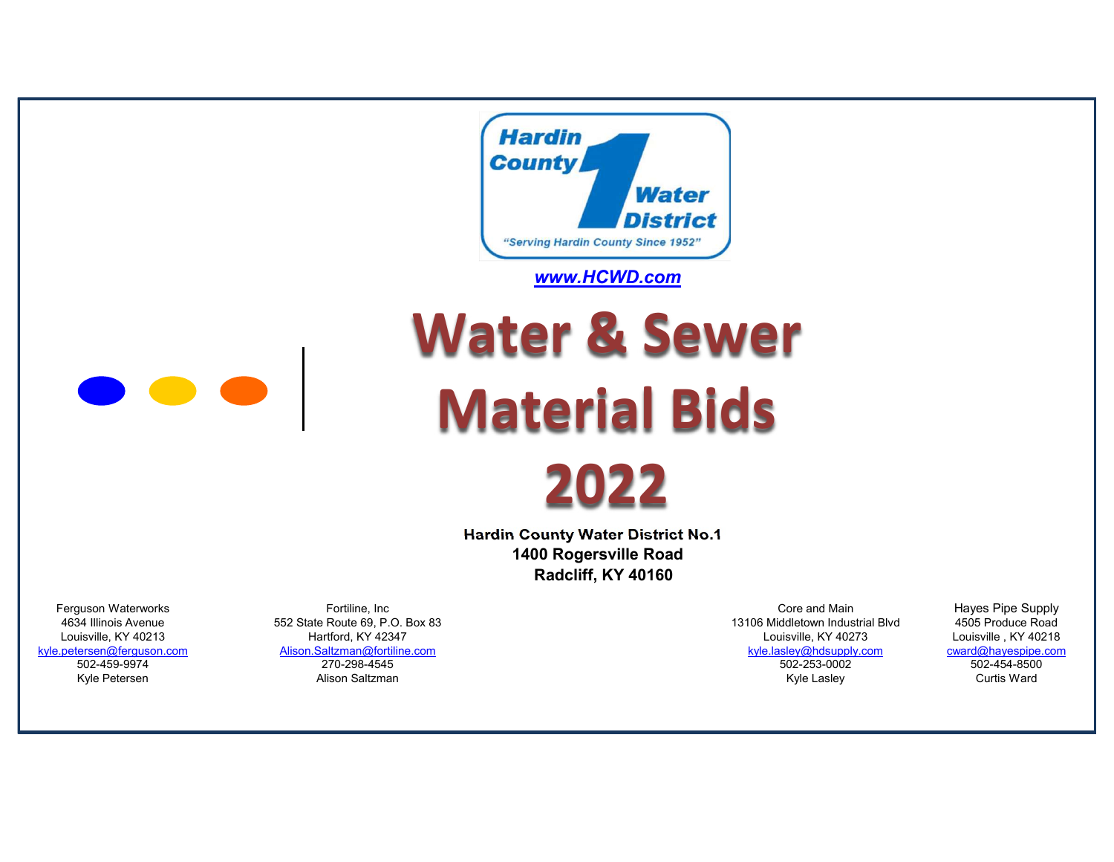

## www.HCWD.com



Water & Sewer Material Bids

2022

 Hardin County Water District No.1 1400 Rogersville Road Radcliff, KY 40160

Ferguson Waterworks **Example 20 Fortiline, Inc** Fortiline, Inc **Core and Main** Core and Main Hayes Pipe Supply

Kyle Petersen Alison Saltzman Kyle Lasley Curtis Ward

4634 Illinois Avenue 552 State Route 69, P.O. Box 83 13106 Middletown Industrial Blvd 4505 Produce Road Louisville, KY 40213 Hartford, KY 42347 Louisville, KY 40273 Louisville , KY 40218 kyle.petersen@ferguson.com Alison.Saltzman@fortiline.com kyle.lasley@hdsupply.com cward@hayespipe.com 502-459-9974 270-298-4545 502-253-0002 502-454-8500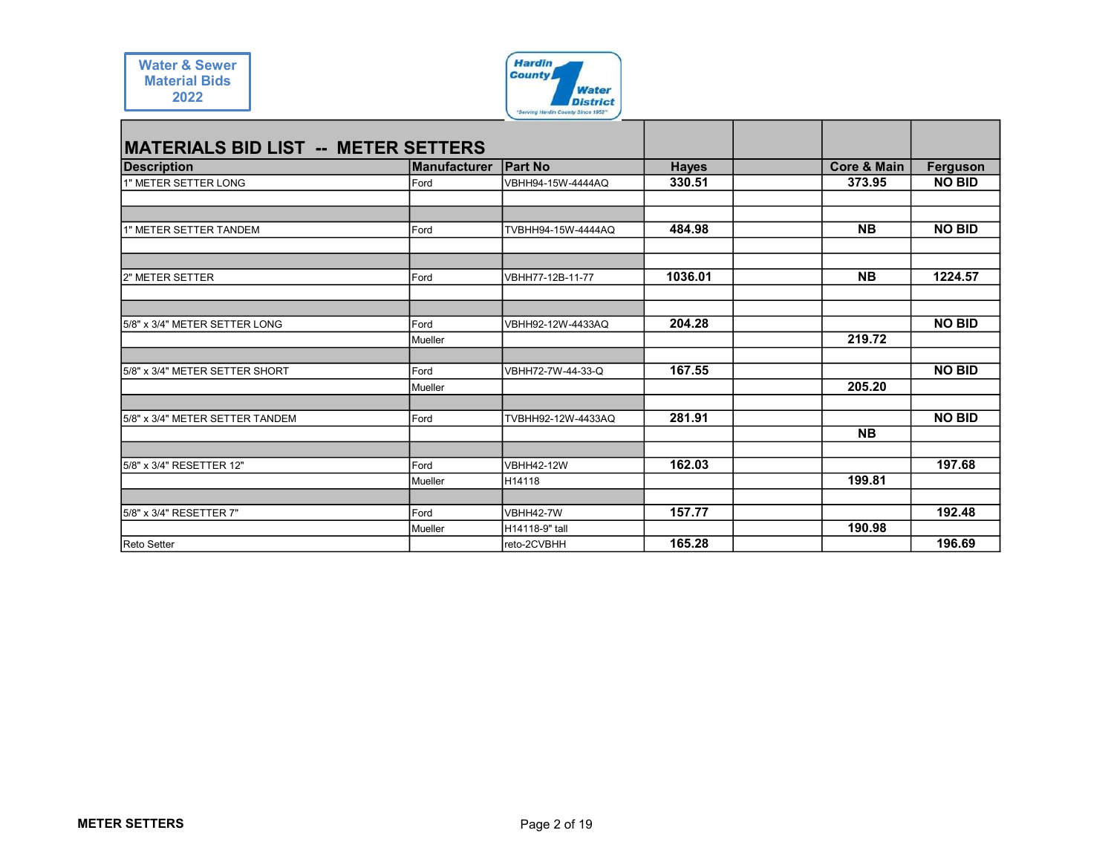

| <b>Water &amp; Sewer</b>                   |                 | <b>Hardin</b><br><b>County</b>                        |              |                          |               |
|--------------------------------------------|-----------------|-------------------------------------------------------|--------------|--------------------------|---------------|
| <b>Material Bids</b><br>2022               |                 | <b>Water</b>                                          |              |                          |               |
|                                            |                 | <b>District</b><br>"Serving Hardin County Since 1952" |              |                          |               |
|                                            |                 |                                                       |              |                          |               |
| <b>MATERIALS BID LIST -- METER SETTERS</b> |                 |                                                       |              |                          |               |
| <b>Description</b>                         | Manufacturer    | <b>Part No</b>                                        | <b>Hayes</b> | <b>Core &amp; Main</b>   | Ferguson      |
| 1" METER SETTER LONG                       | Ford            | VBHH94-15W-4444AQ                                     | 330.51       | 373.95                   | <b>NO BID</b> |
|                                            |                 |                                                       |              |                          |               |
| 1" METER SETTER TANDEM                     | Ford            | TVBHH94-15W-4444AQ                                    | 484.98       | <b>NB</b>                | <b>NO BID</b> |
|                                            |                 |                                                       |              |                          |               |
|                                            |                 |                                                       | 1036.01      | $\overline{\mathsf{NB}}$ | 1224.57       |
|                                            |                 |                                                       |              |                          |               |
| 2" METER SETTER                            | Ford            | VBHH77-12B-11-77                                      |              |                          |               |
|                                            |                 |                                                       |              |                          |               |
| 5/8" x 3/4" METER SETTER LONG              | Ford            | VBHH92-12W-4433AQ                                     | 204.28       |                          | <b>NO BID</b> |
|                                            | Mueller         |                                                       |              | 219.72                   |               |
|                                            |                 |                                                       |              |                          |               |
| 5/8" x 3/4" METER SETTER SHORT             | Ford<br>Mueller | VBHH72-7W-44-33-Q                                     | 167.55       | 205.20                   | <b>NO BID</b> |
|                                            |                 |                                                       |              |                          |               |
| 5/8" x 3/4" METER SETTER TANDEM            | Ford            | TVBHH92-12W-4433AQ                                    | 281.91       |                          | <b>NO BID</b> |
|                                            |                 |                                                       |              | <b>NB</b>                |               |
|                                            |                 |                                                       |              |                          |               |
| 5/8" x 3/4" RESETTER 12"                   | Ford<br>Mueller | <b>VBHH42-12W</b><br>H14118                           | 162.03       | 199.81                   | 197.68        |
|                                            |                 |                                                       |              |                          |               |
| 5/8" x 3/4" RESETTER 7"                    | Ford<br>Mueller | VBHH42-7W<br>H14118-9" tall                           | 157.77       | 190.98                   | 192.48        |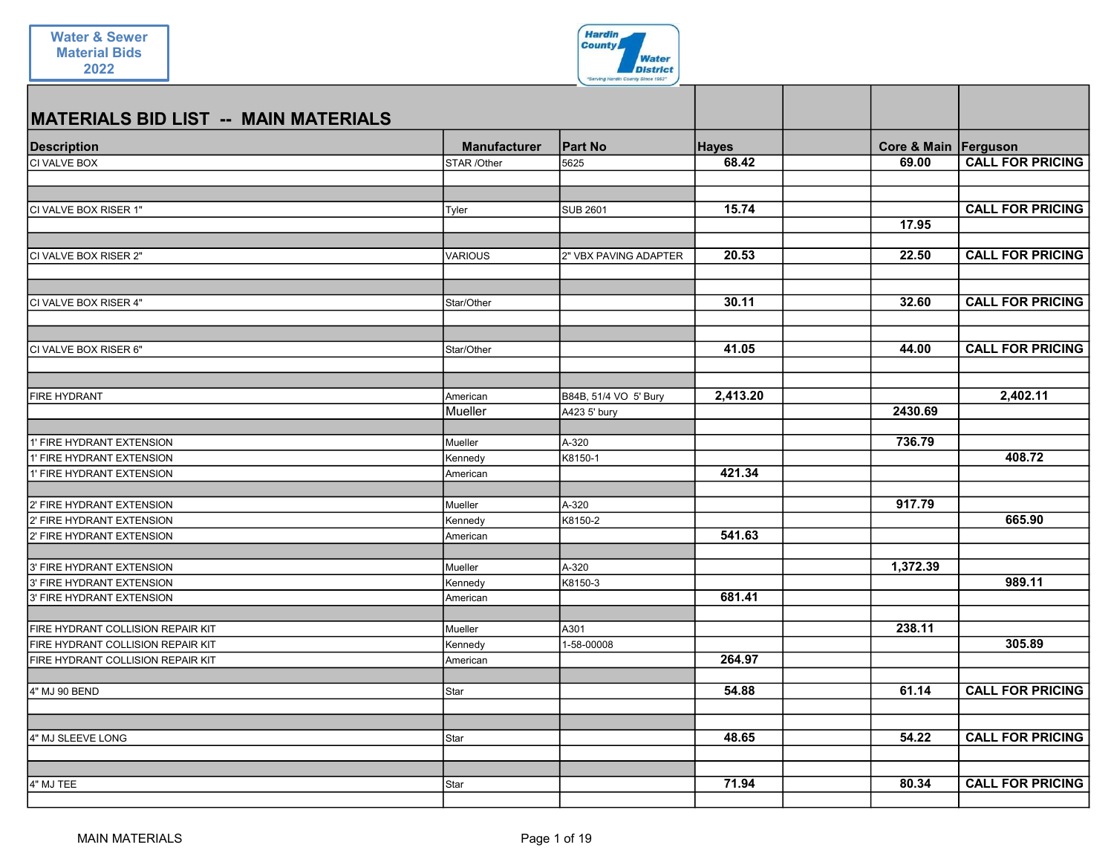

| <b>Manufacturer</b> | <b>Part No</b>                                                                                      | <b>Hayes</b>                                                                       | Core & Main Ferguson              |                                                           |
|---------------------|-----------------------------------------------------------------------------------------------------|------------------------------------------------------------------------------------|-----------------------------------|-----------------------------------------------------------|
|                     |                                                                                                     |                                                                                    |                                   | <b>CALL FOR PRICING</b>                                   |
|                     |                                                                                                     |                                                                                    |                                   |                                                           |
| Tyler               | <b>SUB 2601</b>                                                                                     | 15.74                                                                              |                                   | <b>CALL FOR PRICING</b>                                   |
|                     |                                                                                                     |                                                                                    | 17.95                             |                                                           |
| VARIOUS             | 2" VBX PAVING ADAPTER                                                                               | 20.53                                                                              | 22.50                             | <b>CALL FOR PRICING</b>                                   |
| Star/Other          |                                                                                                     | 30.11                                                                              | 32.60                             | <b>CALL FOR PRICING</b>                                   |
|                     |                                                                                                     |                                                                                    | 44.00                             | <b>CALL FOR PRICING</b>                                   |
|                     |                                                                                                     |                                                                                    |                                   |                                                           |
| American            | B84B, 51/4 VO 5' Bury                                                                               | 2,413.20                                                                           |                                   | 2,402.11                                                  |
|                     |                                                                                                     |                                                                                    |                                   |                                                           |
| Mueller             | A-320                                                                                               |                                                                                    | 736.79                            |                                                           |
| Kennedy             | K8150-1                                                                                             |                                                                                    |                                   | 408.72                                                    |
| American            |                                                                                                     |                                                                                    |                                   |                                                           |
| Mueller             |                                                                                                     |                                                                                    |                                   |                                                           |
|                     |                                                                                                     |                                                                                    |                                   | 665.90                                                    |
| American            |                                                                                                     | 541.63                                                                             |                                   |                                                           |
|                     |                                                                                                     |                                                                                    |                                   |                                                           |
|                     |                                                                                                     |                                                                                    |                                   | 989.11                                                    |
| American            |                                                                                                     | 681.41                                                                             |                                   |                                                           |
|                     |                                                                                                     |                                                                                    |                                   |                                                           |
|                     |                                                                                                     |                                                                                    |                                   | 305.89                                                    |
| American            |                                                                                                     | 264.97                                                                             |                                   |                                                           |
|                     |                                                                                                     |                                                                                    |                                   |                                                           |
| Star                |                                                                                                     | 54.88                                                                              | 61.14                             | <b>CALL FOR PRICING</b>                                   |
|                     |                                                                                                     |                                                                                    |                                   | <b>CALL FOR PRICING</b>                                   |
|                     |                                                                                                     |                                                                                    |                                   |                                                           |
| Star                |                                                                                                     | 71.94                                                                              | 80.34                             | <b>CALL FOR PRICING</b>                                   |
|                     | STAR /Other<br>Star/Other<br>Mueller<br>Kennedy<br>Mueller<br>Kennedy<br>Mueller<br>Kennedy<br>Star | 5625<br>A423 5' bury<br>A-320<br>K8150-2<br>A-320<br>K8150-3<br>A301<br>1-58-00008 | 68.42<br>41.05<br>421.34<br>48.65 | 69.00<br>2430.69<br>917.79<br>1,372.39<br>238.11<br>54.22 |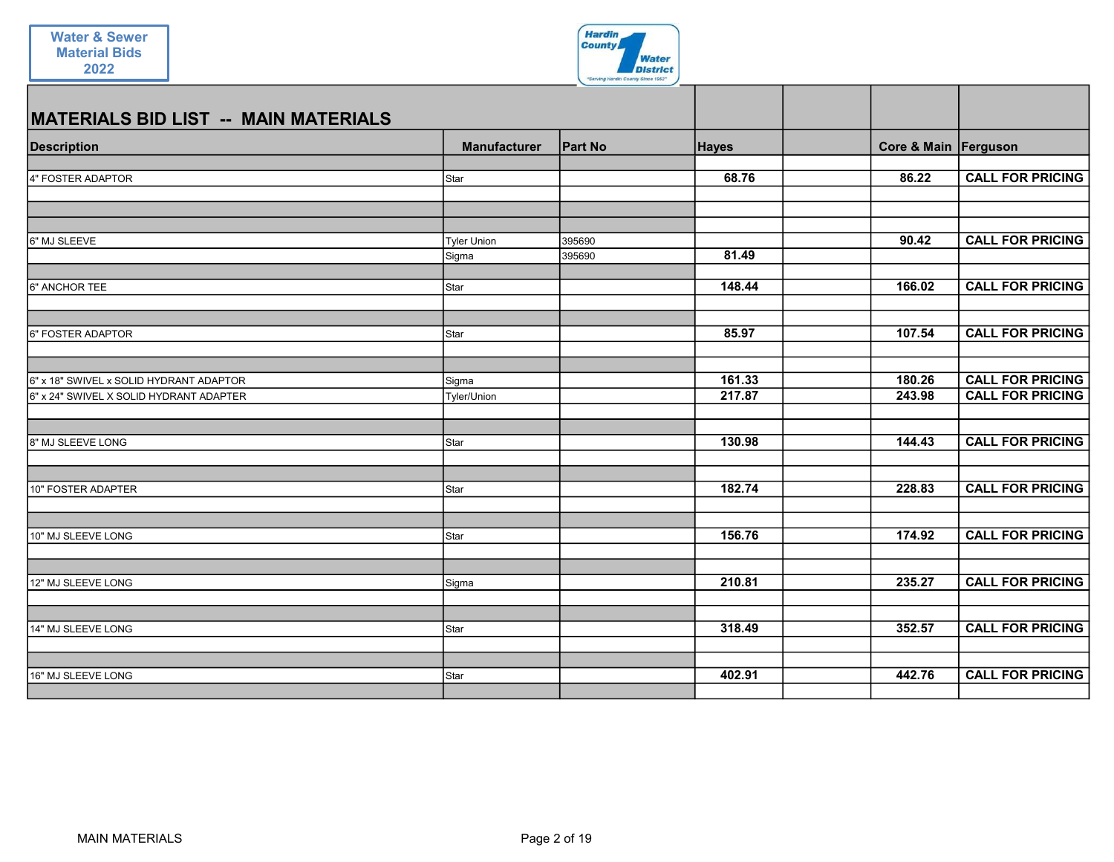

| <b>MATERIALS BID LIST -- MAIN MATERIALS</b> |                     |                |              |                      |                         |
|---------------------------------------------|---------------------|----------------|--------------|----------------------|-------------------------|
| <b>Description</b>                          | <b>Manufacturer</b> | <b>Part No</b> | <b>Hayes</b> | Core & Main Ferguson |                         |
| 4" FOSTER ADAPTOR                           | Star                |                | 68.76        | 86.22                | <b>CALL FOR PRICING</b> |
| 6" MJ SLEEVE                                | <b>Tyler Union</b>  | 395690         |              | 90.42                | <b>CALL FOR PRICING</b> |
|                                             | Sigma               | 395690         | 81.49        |                      |                         |
| 6" ANCHOR TEE                               | Star                |                | 148.44       | 166.02               | <b>CALL FOR PRICING</b> |
| 6" FOSTER ADAPTOR                           | Star                |                | 85.97        | 107.54               | <b>CALL FOR PRICING</b> |
| 6" x 18" SWIVEL x SOLID HYDRANT ADAPTOR     | Sigma               |                | 161.33       | 180.26               | <b>CALL FOR PRICING</b> |
| 6" x 24" SWIVEL X SOLID HYDRANT ADAPTER     | Tyler/Union         |                | 217.87       | 243.98               | <b>CALL FOR PRICING</b> |
| 8" MJ SLEEVE LONG                           | Star                |                | 130.98       | 144.43               | <b>CALL FOR PRICING</b> |
| 10" FOSTER ADAPTER                          | Star                |                | 182.74       | 228.83               | <b>CALL FOR PRICING</b> |
| 10" MJ SLEEVE LONG                          | Star                |                | 156.76       | 174.92               | <b>CALL FOR PRICING</b> |
| 12" MJ SLEEVE LONG                          |                     |                | 210.81       | 235.27               | <b>CALL FOR PRICING</b> |
|                                             | Sigma               |                |              |                      |                         |
| 14" MJ SLEEVE LONG                          | Star                |                | 318.49       | 352.57               | <b>CALL FOR PRICING</b> |
| 16" MJ SLEEVE LONG                          | Star                |                | 402.91       | 442.76               | <b>CALL FOR PRICING</b> |
|                                             |                     |                |              |                      |                         |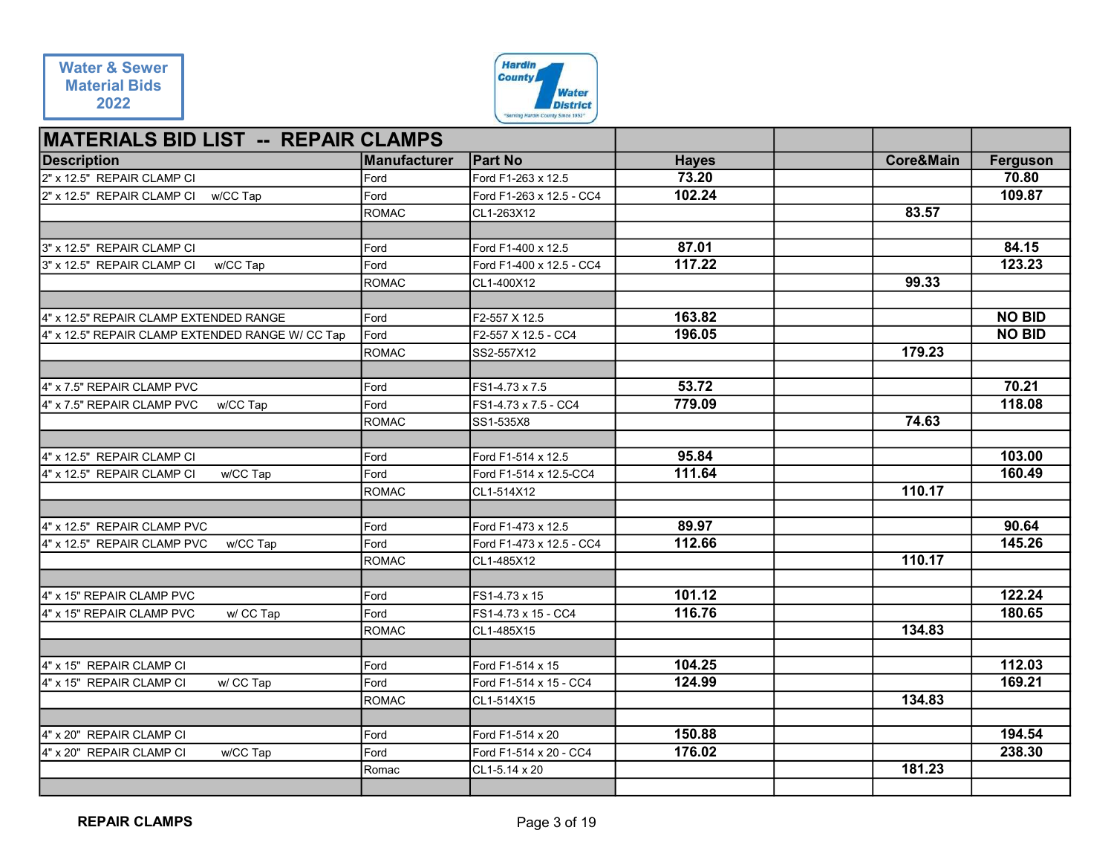

| <b>Water &amp; Sewer</b>                                         |                      | <b>Hardin</b>                          |                       |                      |                   |
|------------------------------------------------------------------|----------------------|----------------------------------------|-----------------------|----------------------|-------------------|
| <b>Material Bids</b>                                             |                      | <b>County</b><br><b>Water</b>          |                       |                      |                   |
| 2022                                                             |                      | <b>District</b>                        |                       |                      |                   |
|                                                                  |                      | "Serving Hardin County Since 1952"     |                       |                      |                   |
| <b>MATERIALS BID LIST -- REPAIR CLAMPS</b><br><b>Description</b> | Manufacturer         | <b>Part No</b>                         |                       | <b>Core&amp;Main</b> |                   |
| 2" x 12.5" REPAIR CLAMP CI                                       | Ford                 | Ford F1-263 x 12.5                     | <b>Hayes</b><br>73.20 |                      | Ferguson<br>70.80 |
| 2" x 12.5" REPAIR CLAMP CI<br>w/CC Tap                           | Ford                 | Ford F1-263 x 12.5 - CC4               | 102.24                |                      | 109.87            |
|                                                                  | ROMAC                | CL1-263X12                             |                       | 83.57                |                   |
|                                                                  |                      |                                        |                       |                      |                   |
| 3" x 12.5" REPAIR CLAMP CI                                       | Ford                 | Ford F1-400 x 12.5                     | 87.01                 |                      | 84.15             |
| 3" x 12.5" REPAIR CLAMP CI<br>w/CC Tap                           | Ford<br>ROMAC        | Ford F1-400 x 12.5 - CC4<br>CL1-400X12 | 117.22                | 99.33                | 123.23            |
|                                                                  |                      |                                        |                       |                      |                   |
| 4" x 12.5" REPAIR CLAMP EXTENDED RANGE                           | Ford                 | F2-557 X 12.5                          | 163.82                |                      | <b>NO BID</b>     |
| 4" x 12.5" REPAIR CLAMP EXTENDED RANGE W/ CC Tap                 | Ford                 | F2-557 X 12.5 - CC4                    | 196.05                |                      | <b>NO BID</b>     |
|                                                                  | <b>ROMAC</b>         | SS2-557X12                             |                       | 179.23               |                   |
| 4" x 7.5" REPAIR CLAMP PVC                                       | Ford                 | FS1-4.73 x 7.5                         | 53.72                 |                      | 70.21             |
| 4" x 7.5" REPAIR CLAMP PVC<br>w/CC Tap                           | Ford                 | FS1-4.73 x 7.5 - CC4                   | 779.09                |                      | 118.08            |
|                                                                  | ROMAC                | SS1-535X8                              |                       | 74.63                |                   |
|                                                                  |                      |                                        |                       |                      |                   |
| 4" x 12.5" REPAIR CLAMP CI                                       | Ford                 | Ford F1-514 x 12.5                     | 95.84                 |                      | 103.00            |
| 4" x 12.5" REPAIR CLAMP CI<br>w/CC Tap                           | Ford<br>ROMAC        | Ford F1-514 x 12.5-CC4<br>CL1-514X12   | 111.64                | 110.17               | 160.49            |
|                                                                  |                      |                                        |                       |                      |                   |
| 4" x 12.5" REPAIR CLAMP PVC                                      | Ford                 | Ford F1-473 x 12.5                     | 89.97                 |                      | 90.64             |
| 4" x 12.5" REPAIR CLAMP PVC<br>w/CC Tap                          | Ford                 | Ford F1-473 x 12.5 - CC4               | 112.66                |                      | 145.26            |
|                                                                  | ROMAC                | CL1-485X12                             |                       | 110.17               |                   |
| 4" x 15" REPAIR CLAMP PVC                                        | Ford                 | FS1-4.73 x 15                          | 101.12                |                      | 122.24            |
| 4" x 15" REPAIR CLAMP PVC<br>w/ CC Tap                           | Ford                 | FS1-4.73 x 15 - CC4                    | 116.76                |                      | 180.65            |
|                                                                  | ROMAC                | CL1-485X15                             |                       | 134.83               |                   |
|                                                                  |                      |                                        |                       |                      |                   |
| 4" x 15" REPAIR CLAMP CI                                         | Ford                 | Ford F1-514 x 15                       | 104.25<br>124.99      |                      | 112.03            |
| 4" x 15" REPAIR CLAMP CI<br>w/ CC Tap                            | Ford<br><b>ROMAC</b> | Ford F1-514 x 15 - CC4<br>CL1-514X15   |                       | 134.83               | 169.21            |
|                                                                  |                      |                                        |                       |                      |                   |
| 4" x 20" REPAIR CLAMP CI                                         | Ford                 | Ford F1-514 x 20                       | 150.88                |                      | 194.54            |
| 4" x 20" REPAIR CLAMP CI<br>w/CC Tap                             | Ford                 | Ford F1-514 x 20 - CC4                 | 176.02                |                      | 238.30            |
|                                                                  | Romac                | CL1-5.14 x 20                          |                       | 181.23               |                   |
|                                                                  |                      |                                        |                       |                      |                   |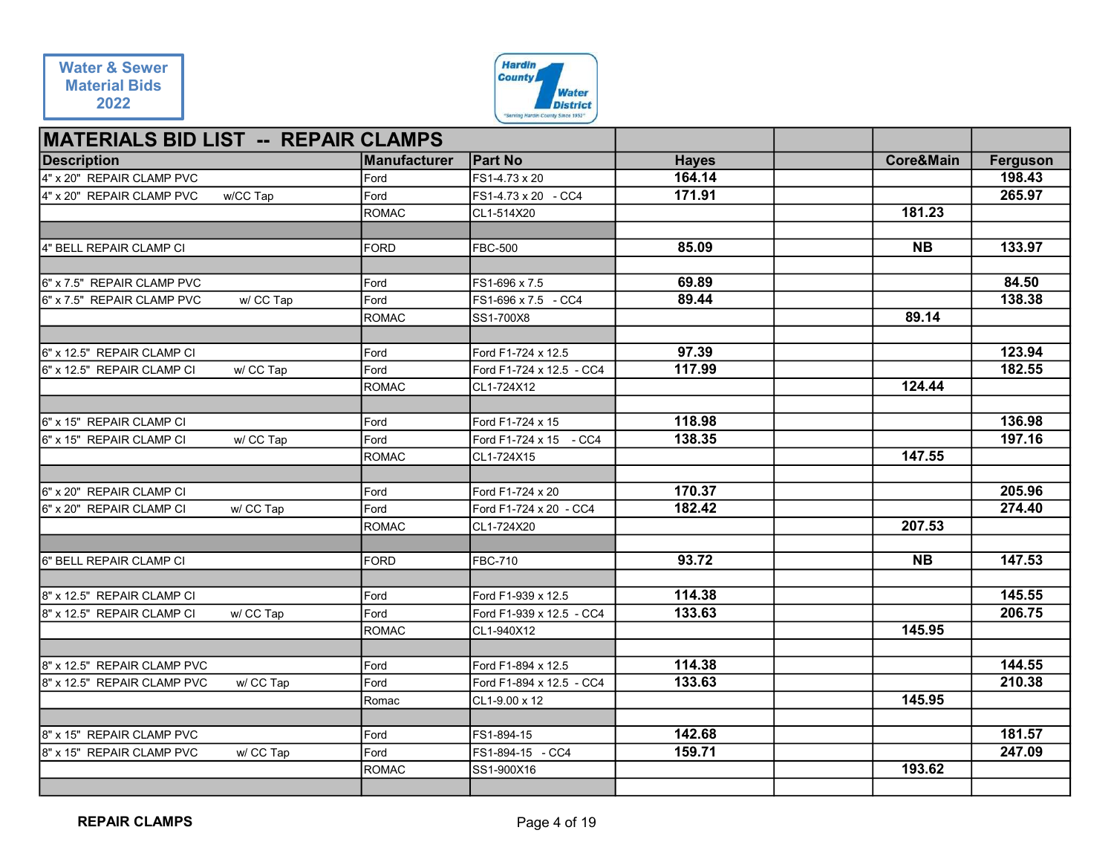

| <b>Water &amp; Sewer</b>                                                |               | <b>Hardin</b><br><b>County</b>                        |                  |                      |                  |
|-------------------------------------------------------------------------|---------------|-------------------------------------------------------|------------------|----------------------|------------------|
| <b>Material Bids</b>                                                    |               | <b>Water</b>                                          |                  |                      |                  |
| 2022                                                                    |               | <b>District</b><br>"Serving Hardin County Since 1952" |                  |                      |                  |
| <b>MATERIALS BID LIST -- REPAIR CLAMPS</b>                              |               |                                                       |                  |                      |                  |
| <b>Description</b>                                                      | Manufacturer  | <b>Part No</b>                                        | <b>Hayes</b>     | <b>Core&amp;Main</b> | Ferguson         |
| 4" x 20" REPAIR CLAMP PVC                                               | Ford          | FS1-4.73 x 20                                         | 164.14           |                      | 198.43           |
| 4" x 20" REPAIR CLAMP PVC<br>w/CC Tap                                   | Ford<br>ROMAC | FS1-4.73 x 20 - CC4<br>CL1-514X20                     | 171.91           | 181.23               | 265.97           |
|                                                                         |               |                                                       |                  |                      |                  |
| 4" BELL REPAIR CLAMP CI                                                 | <b>FORD</b>   | <b>FBC-500</b>                                        | 85.09            | <b>NB</b>            | 133.97           |
|                                                                         |               |                                                       |                  |                      |                  |
| 6" x 7.5" REPAIR CLAMP PVC<br>6" x 7.5" REPAIR CLAMP PVC<br>w/ CC Tap   | Ford<br>Ford  | FS1-696 x 7.5<br>FS1-696 x 7.5 - CC4                  | 69.89<br>89.44   |                      | 84.50<br>138.38  |
|                                                                         | <b>ROMAC</b>  | SS1-700X8                                             |                  | 89.14                |                  |
|                                                                         |               |                                                       |                  |                      |                  |
| 6" x 12.5" REPAIR CLAMP CI<br>w/ CC Tap                                 | Ford          | Ford F1-724 x 12.5                                    | 97.39<br>117.99  |                      | 123.94<br>182.55 |
| 6" x 12.5" REPAIR CLAMP CI                                              | Ford<br>ROMAC | Ford F1-724 x 12.5 - CC4<br>CL1-724X12                |                  | 124.44               |                  |
|                                                                         |               |                                                       |                  |                      |                  |
| 6" x 15" REPAIR CLAMP CI                                                | Ford          | Ford F1-724 x 15                                      | 118.98           |                      | 136.98           |
| 6" x 15" REPAIR CLAMP CI<br>w/ CC Tap                                   | Ford<br>ROMAC | Ford F1-724 x 15 - CC4<br>CL1-724X15                  | 138.35           | 147.55               | 197.16           |
|                                                                         |               |                                                       |                  |                      |                  |
| 6" x 20" REPAIR CLAMP CI                                                | Ford          | Ford F1-724 x 20                                      | 170.37           |                      | 205.96           |
| w/ CC Tap<br>6" x 20" REPAIR CLAMP CI                                   | Ford<br>ROMAC | Ford F1-724 x 20 - CC4<br>CL1-724X20                  | 182.42           | 207.53               | 274.40           |
|                                                                         |               |                                                       |                  |                      |                  |
| 6" BELL REPAIR CLAMP CI                                                 | FORD          | <b>FBC-710</b>                                        | 93.72            | <b>NB</b>            | 147.53           |
|                                                                         |               |                                                       | 114.38           |                      | 145.55           |
| 8" x 12.5" REPAIR CLAMP CI<br>8" x 12.5" REPAIR CLAMP CI<br>w/ CC Tap   | Ford<br>Ford  | Ford F1-939 x 12.5<br>Ford F1-939 x 12.5 - CC4        | 133.63           |                      | 206.75           |
|                                                                         | ROMAC         | CL1-940X12                                            |                  | 145.95               |                  |
|                                                                         |               |                                                       |                  |                      |                  |
| 8" x 12.5" REPAIR CLAMP PVC<br>8" x 12.5" REPAIR CLAMP PVC<br>w/ CC Tap | Ford<br>Ford  | Ford F1-894 x 12.5<br>Ford F1-894 x 12.5 - CC4        | 114.38<br>133.63 |                      | 144.55<br>210.38 |
|                                                                         | Romac         | CL1-9.00 x 12                                         |                  | 145.95               |                  |
|                                                                         |               |                                                       |                  |                      |                  |
| 8" x 15" REPAIR CLAMP PVC                                               | Ford          | FS1-894-15                                            | 142.68           |                      | 181.57           |
| 8" x 15" REPAIR CLAMP PVC<br>w/ CC Tap                                  | Ford<br>ROMAC | FS1-894-15 - CC4<br>SS1-900X16                        | 159.71           | 193.62               | 247.09           |
|                                                                         |               |                                                       |                  |                      |                  |
|                                                                         |               |                                                       |                  |                      |                  |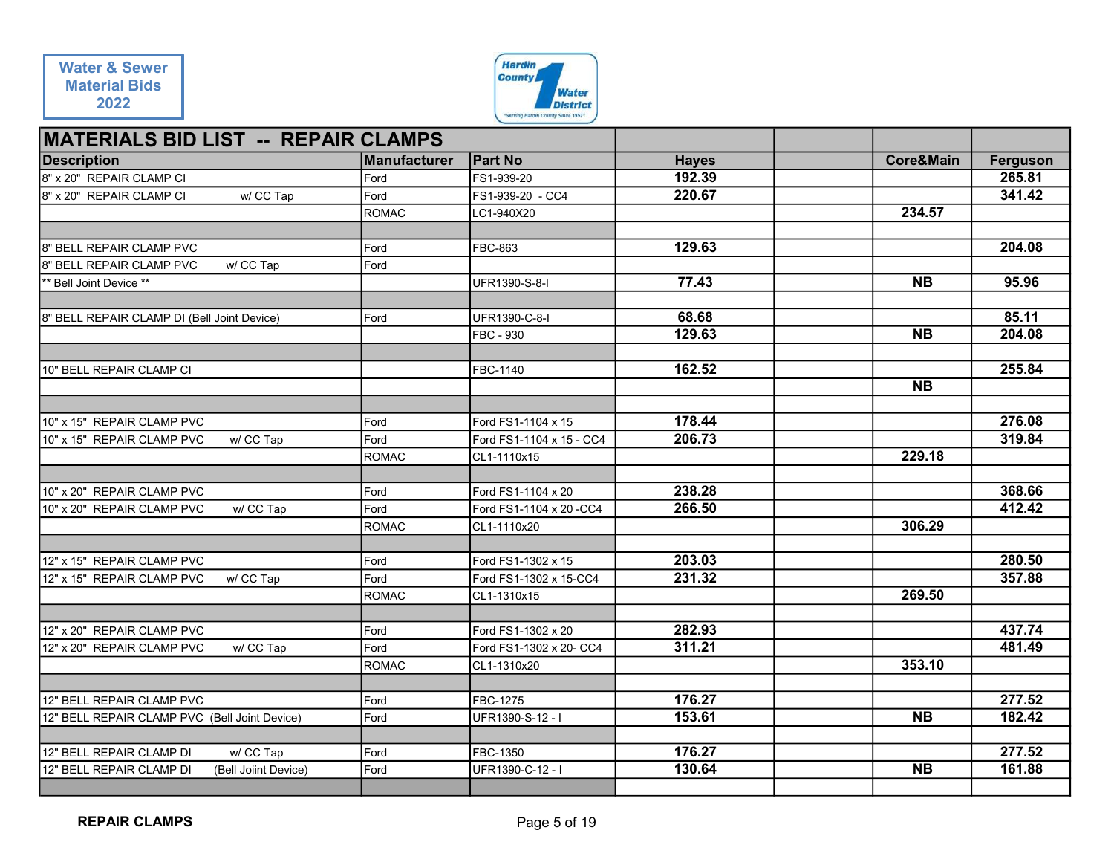

| <b>Water &amp; Sewer</b>                                                                  |               | <b>Hardin</b><br><b>County</b>                        |                  |                         |                  |
|-------------------------------------------------------------------------------------------|---------------|-------------------------------------------------------|------------------|-------------------------|------------------|
| <b>Material Bids</b><br>2022                                                              |               | <b>Water</b>                                          |                  |                         |                  |
|                                                                                           |               | <b>District</b><br>"Serving Hardin County Since 1952" |                  |                         |                  |
| <b>MATERIALS BID LIST -- REPAIR CLAMPS</b>                                                |               |                                                       |                  |                         |                  |
| <b>Description</b>                                                                        | Manufacturer  | <b>Part No</b>                                        | <b>Hayes</b>     | Core&Main               | Ferguson         |
| 8" x 20" REPAIR CLAMP CI                                                                  | <b>IFord</b>  | FS1-939-20                                            | 192.39           |                         | 265.81           |
| w/ CC Tap<br>8" x 20" REPAIR CLAMP CI                                                     | Ford          | FS1-939-20 - CC4                                      | 220.67           |                         | 341.42           |
|                                                                                           | <b>ROMAC</b>  | LC1-940X20                                            |                  | 234.57                  |                  |
| 8" BELL REPAIR CLAMP PVC                                                                  | Ford          | FBC-863                                               | 129.63           |                         | 204.08           |
| 8" BELL REPAIR CLAMP PVC<br>w/ CC Tap                                                     | Ford          |                                                       |                  |                         |                  |
| ** Bell Joint Device **                                                                   |               | UFR1390-S-8-I                                         | 77.43            | <b>NB</b>               | 95.96            |
|                                                                                           |               |                                                       |                  |                         |                  |
| 8" BELL REPAIR CLAMP DI (Bell Joint Device)                                               | Ford          | UFR1390-C-8-I                                         | 68.68<br>129.63  | $\overline{\mathsf{N}}$ | 85.11            |
|                                                                                           |               | FBC - 930                                             |                  |                         | 204.08           |
| 10" BELL REPAIR CLAMP CI                                                                  |               | FBC-1140                                              | 162.52           |                         | 255.84           |
|                                                                                           |               |                                                       |                  | <b>NB</b>               |                  |
|                                                                                           |               |                                                       |                  |                         |                  |
| 10" x 15" REPAIR CLAMP PVC                                                                | Ford          | Ford FS1-1104 x 15                                    | 178.44<br>206.73 |                         | 276.08           |
| 10" x 15" REPAIR CLAMP PVC<br>w/ CC Tap                                                   | Ford<br>ROMAC | Ford FS1-1104 x 15 - CC4<br>CL1-1110x15               |                  | 229.18                  | 319.84           |
|                                                                                           |               |                                                       |                  |                         |                  |
| 10" x 20" REPAIR CLAMP PVC                                                                | Ford          | Ford FS1-1104 x 20                                    | 238.28           |                         | 368.66           |
| 10" x 20" REPAIR CLAMP PVC<br>w/ CC Tap                                                   | Ford          | Ford FS1-1104 x 20 -CC4                               | 266.50           |                         | 412.42           |
|                                                                                           | ROMAC         | CL1-1110x20                                           |                  | 306.29                  |                  |
| 12" x 15" REPAIR CLAMP PVC                                                                | Ford          | Ford FS1-1302 x 15                                    | 203.03           |                         | 280.50           |
| 12" x 15" REPAIR CLAMP PVC<br>w/ CC Tap                                                   | Ford          | Ford FS1-1302 x 15-CC4                                | 231.32           |                         | 357.88           |
|                                                                                           | ROMAC         | CL1-1310x15                                           |                  | 269.50                  |                  |
|                                                                                           |               |                                                       |                  |                         |                  |
| 12" x 20" REPAIR CLAMP PVC                                                                | Ford          | Ford FS1-1302 x 20                                    | 282.93           |                         | 437.74           |
| w/ CC Tap<br>12" x 20" REPAIR CLAMP PVC                                                   | Ford<br>ROMAC | Ford FS1-1302 x 20- CC4<br>CL1-1310x20                | 311.21           | 353.10                  | 481.49           |
|                                                                                           |               |                                                       |                  |                         |                  |
| 12" BELL REPAIR CLAMP PVC                                                                 | Ford          | FBC-1275                                              | 176.27           |                         | 277.52           |
| 12" BELL REPAIR CLAMP PVC (Bell Joint Device)                                             | Ford          | UFR1390-S-12 - I                                      | 153.61           | <b>NB</b>               | 182.42           |
|                                                                                           |               |                                                       |                  |                         |                  |
| 12" BELL REPAIR CLAMP DI<br>w/ CC Tap<br>12" BELL REPAIR CLAMP DI<br>(Bell Joiint Device) | Ford<br>Ford  | FBC-1350<br>UFR1390-C-12 - I                          | 176.27<br>130.64 | <b>NB</b>               | 277.52<br>161.88 |
|                                                                                           |               |                                                       |                  |                         |                  |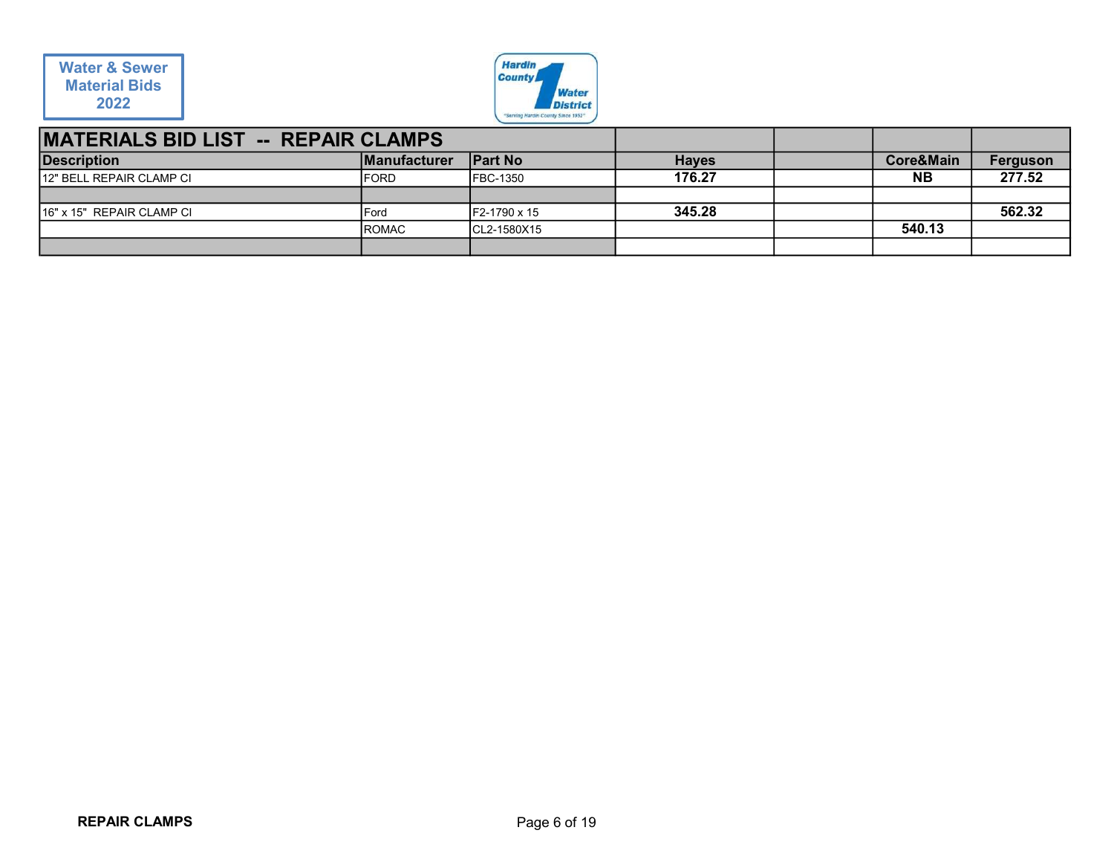

| <b>Water &amp; Sewer</b>                   |              | <b>Hardin</b>                                         |              |                |          |
|--------------------------------------------|--------------|-------------------------------------------------------|--------------|----------------|----------|
| <b>Material Bids</b>                       |              | <b>County</b><br><b>Water</b>                         |              |                |          |
| 2022                                       |              | <b>District</b><br>"Serving Hardin County Since 1952" |              |                |          |
| <b>MATERIALS BID LIST -- REPAIR CLAMPS</b> |              |                                                       |              |                |          |
| <b>Description</b>                         | Manufacturer | <b>Part No</b>                                        | <b>Hayes</b> | Core&Main      | Ferguson |
| 12" BELL REPAIR CLAMP CI                   | FORD         | FBC-1350                                              | 176.27       | N <sub>B</sub> | 277.52   |
| 16" x 15" REPAIR CLAMP CI                  | Ford         | F2-1790 x 15                                          | 345.28       |                | 562.32   |
|                                            | ROMAC        | CL2-1580X15                                           |              | 540.13         |          |
|                                            |              |                                                       |              |                |          |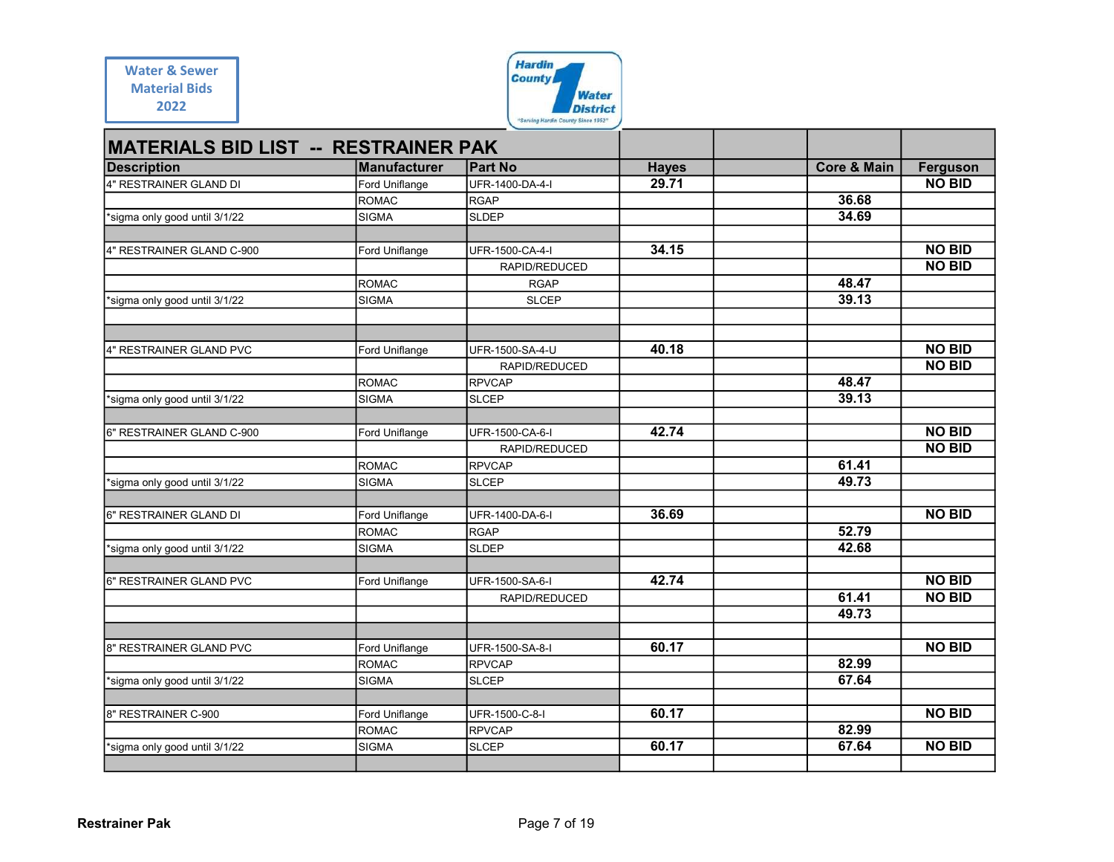| <b>Water &amp; Sewer</b> |  |
|--------------------------|--|
| <b>Material Bids</b>     |  |
| 2022                     |  |



| <b>Water &amp; Sewer</b>                                                        |                       | <b>Hardin</b><br><b>County</b>     |              |                        |               |
|---------------------------------------------------------------------------------|-----------------------|------------------------------------|--------------|------------------------|---------------|
| <b>Material Bids</b>                                                            |                       | <b>Water</b>                       |              |                        |               |
| 2022                                                                            |                       | <b>District</b>                    |              |                        |               |
|                                                                                 |                       | "Serving Hardin County Since 1952" |              |                        |               |
| <b>MATERIALS BID LIST -- RESTRAINER PAK</b>                                     |                       |                                    |              |                        |               |
| <b>Description</b>                                                              | Manufacturer          | <b>Part No</b>                     | <b>Hayes</b> | <b>Core &amp; Main</b> | Ferguson      |
| 4" RESTRAINER GLAND DI                                                          | Ford Uniflange        | UFR-1400-DA-4-I                    | 29.71        |                        | <b>NO BID</b> |
|                                                                                 | <b>ROMAC</b><br>SIGMA | <b>RGAP</b><br><b>SLDEP</b>        |              | 36.68<br>34.69         |               |
| *sigma only good until 3/1/22                                                   |                       |                                    |              |                        |               |
| 4" RESTRAINER GLAND C-900                                                       | Ford Uniflange        | UFR-1500-CA-4-I                    | 34.15        |                        | <b>NO BID</b> |
|                                                                                 |                       | RAPID/REDUCED                      |              |                        | <b>NO BID</b> |
|                                                                                 | <b>ROMAC</b>          | <b>RGAP</b>                        |              | 48.47                  |               |
| *sigma only good until 3/1/22                                                   | SIGMA                 | <b>SLCEP</b>                       |              | 39.13                  |               |
|                                                                                 |                       |                                    |              |                        |               |
| 4" RESTRAINER GLAND PVC                                                         | Ford Uniflange        | UFR-1500-SA-4-U                    | 40.18        |                        | <b>NO BID</b> |
|                                                                                 |                       | RAPID/REDUCED                      |              |                        | <b>NO BID</b> |
|                                                                                 | ROMAC                 | <b>RPVCAP</b>                      |              | 48.47                  |               |
| *sigma only good until 3/1/22                                                   | SIGMA                 | <b>SLCEP</b>                       |              | 39.13                  |               |
| 6" RESTRAINER GLAND C-900                                                       |                       |                                    | 42.74        |                        | <b>NO BID</b> |
|                                                                                 | Ford Uniflange        | UFR-1500-CA-6-I<br>RAPID/REDUCED   |              |                        | <b>NO BID</b> |
|                                                                                 | <b>ROMAC</b>          | <b>RPVCAP</b>                      |              | 61.41                  |               |
| *sigma only good until 3/1/22                                                   | SIGMA                 | <b>SLCEP</b>                       |              | 49.73                  |               |
|                                                                                 |                       |                                    |              |                        |               |
| 6" RESTRAINER GLAND DI                                                          | Ford Uniflange        | UFR-1400-DA-6-I                    | 36.69        | 52.79                  | <b>NO BID</b> |
| *sigma only good until 3/1/22                                                   | ROMAC<br>SIGMA        | <b>RGAP</b><br><b>SLDEP</b>        |              | 42.68                  |               |
|                                                                                 |                       |                                    |              |                        |               |
| 6" RESTRAINER GLAND PVC                                                         | Ford Uniflange        | UFR-1500-SA-6-I                    | 42.74        |                        | <b>NO BID</b> |
|                                                                                 |                       | RAPID/REDUCED                      |              | 61.41                  | <b>NO BID</b> |
|                                                                                 |                       |                                    |              | 49.73                  |               |
|                                                                                 |                       |                                    |              |                        |               |
|                                                                                 |                       |                                    |              |                        |               |
|                                                                                 | Ford Uniflange        | UFR-1500-SA-8-I                    | 60.17        |                        | <b>NO BID</b> |
|                                                                                 | <b>ROMAC</b>          | <b>RPVCAP</b>                      |              | 82.99                  |               |
| *sigma only good until 3/1/22                                                   | SIGMA                 | <b>SLCEP</b>                       |              | 67.64                  |               |
|                                                                                 | Ford Uniflange        | UFR-1500-C-8-I                     | 60.17        |                        | <b>NO BID</b> |
|                                                                                 | ROMAC                 | <b>RPVCAP</b>                      |              | 82.99                  |               |
| 8" RESTRAINER GLAND PVC<br>8" RESTRAINER C-900<br>*sigma only good until 3/1/22 | SIGMA                 | <b>SLCEP</b>                       | 60.17        | 67.64                  | <b>NO BID</b> |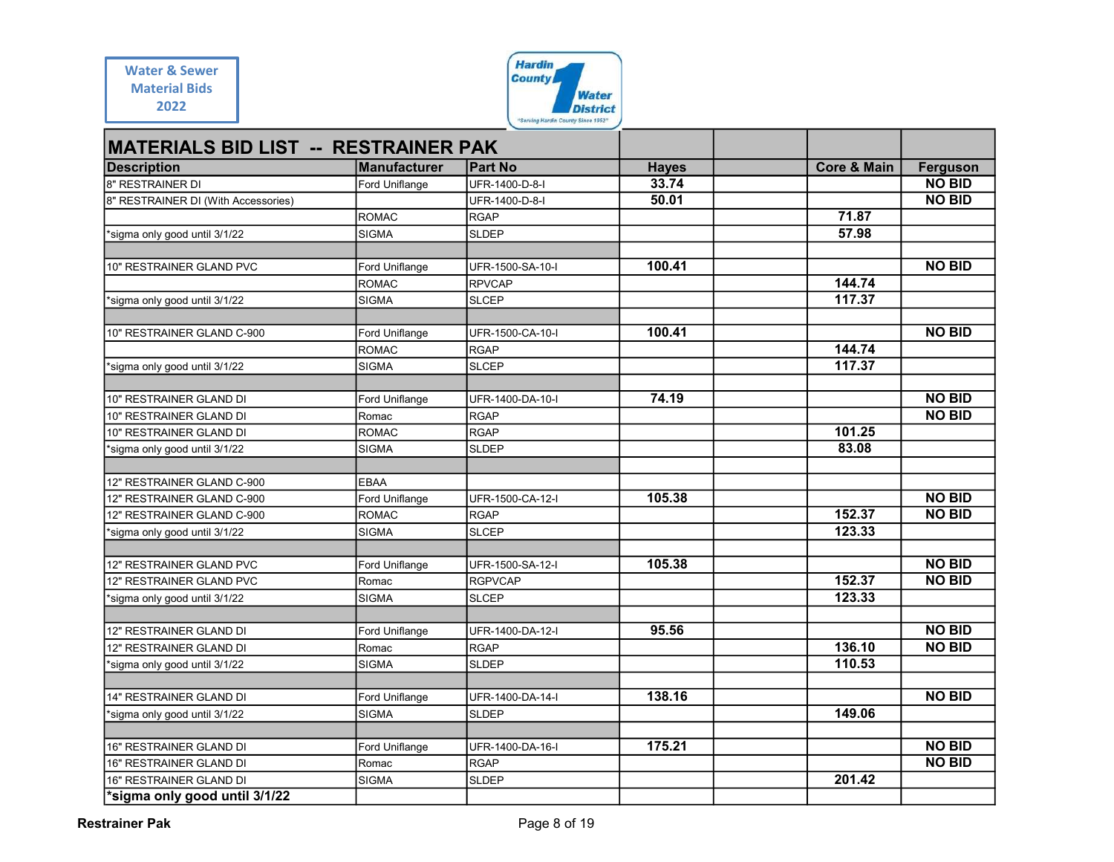| Water & Sewer        |  |
|----------------------|--|
| <b>Material Bids</b> |  |
| 2022                 |  |



| <b>Water &amp; Sewer</b>                                 |                                       | <b>Hardin</b>                                         |                       |                        |                           |
|----------------------------------------------------------|---------------------------------------|-------------------------------------------------------|-----------------------|------------------------|---------------------------|
| <b>Material Bids</b>                                     |                                       | <b>County</b>                                         |                       |                        |                           |
| 2022                                                     |                                       | <b>Water</b>                                          |                       |                        |                           |
|                                                          |                                       | <b>District</b><br>"Serving Hardin County Since 1952" |                       |                        |                           |
|                                                          |                                       |                                                       |                       |                        |                           |
| <b>MATERIALS BID LIST -- RESTRAINER PAK</b>              |                                       |                                                       |                       | <b>Core &amp; Main</b> |                           |
| <b>Description</b><br>8" RESTRAINER DI                   | <b>Manufacturer</b><br>Ford Uniflange | <b>Part No</b><br>UFR-1400-D-8-I                      | <b>Hayes</b><br>33.74 |                        | Ferguson<br><b>NO BID</b> |
| 8" RESTRAINER DI (With Accessories)                      |                                       | UFR-1400-D-8-I                                        | 50.01                 |                        | <b>NO BID</b>             |
|                                                          | ROMAC                                 | <b>RGAP</b>                                           |                       | 71.87                  |                           |
| *sigma only good until 3/1/22                            | <b>SIGMA</b>                          | <b>SLDEP</b>                                          |                       | 57.98                  |                           |
|                                                          |                                       |                                                       |                       |                        |                           |
| 10" RESTRAINER GLAND PVC                                 | Ford Uniflange                        | UFR-1500-SA-10-I                                      | 100.41                |                        | <b>NO BID</b>             |
|                                                          | ROMAC                                 | <b>RPVCAP</b>                                         |                       | 144.74                 |                           |
| *sigma only good until 3/1/22                            | SIGMA                                 | <b>SLCEP</b>                                          |                       | 117.37                 |                           |
| 10" RESTRAINER GLAND C-900                               | Ford Uniflange                        | UFR-1500-CA-10-I                                      | 100.41                |                        | <b>NO BID</b>             |
|                                                          | ROMAC                                 | <b>RGAP</b>                                           |                       | 144.74                 |                           |
| *sigma only good until 3/1/22                            | SIGMA                                 | <b>SLCEP</b>                                          |                       | 117.37                 |                           |
|                                                          |                                       |                                                       |                       |                        |                           |
| 10" RESTRAINER GLAND DI                                  | Ford Uniflange                        | UFR-1400-DA-10-I                                      | 74.19                 |                        | <b>NO BID</b>             |
| 10" RESTRAINER GLAND DI                                  | Romac                                 | <b>RGAP</b>                                           |                       |                        | <b>NO BID</b>             |
| 10" RESTRAINER GLAND DI                                  | ROMAC                                 | <b>RGAP</b>                                           |                       | 101.25                 |                           |
| *sigma only good until 3/1/22                            | SIGMA                                 | <b>SLDEP</b>                                          |                       | 83.08                  |                           |
| 12" RESTRAINER GLAND C-900                               | <b>EBAA</b>                           |                                                       |                       |                        |                           |
| 12" RESTRAINER GLAND C-900                               | Ford Uniflange                        | UFR-1500-CA-12-I                                      | 105.38                |                        | <b>NO BID</b>             |
| 12" RESTRAINER GLAND C-900                               | ROMAC                                 | <b>RGAP</b>                                           |                       | 152.37                 | <b>NO BID</b>             |
| *sigma only good until 3/1/22                            | SIGMA                                 | <b>SLCEP</b>                                          |                       | 123.33                 |                           |
|                                                          |                                       |                                                       | 105.38                |                        | <b>NO BID</b>             |
| 12" RESTRAINER GLAND PVC<br>12" RESTRAINER GLAND PVC     | Ford Uniflange<br>Romac               | UFR-1500-SA-12-I<br><b>RGPVCAP</b>                    |                       | 152.37                 | <b>NO BID</b>             |
| *sigma only good until 3/1/22                            | SIGMA                                 | <b>SLCEP</b>                                          |                       | 123.33                 |                           |
|                                                          |                                       |                                                       |                       |                        |                           |
| 12" RESTRAINER GLAND DI                                  | Ford Uniflange                        | UFR-1400-DA-12-I                                      | 95.56                 |                        | <b>NO BID</b>             |
| 12" RESTRAINER GLAND DI                                  | Romac                                 | <b>RGAP</b>                                           |                       | 136.10                 | <b>NO BID</b>             |
| *sigma only good until 3/1/22                            | <b>SIGMA</b>                          | <b>SLDEP</b>                                          |                       | 110.53                 |                           |
|                                                          |                                       |                                                       |                       |                        |                           |
| 14" RESTRAINER GLAND DI<br>*sigma only good until 3/1/22 | Ford Uniflange<br><b>SIGMA</b>        | UFR-1400-DA-14-I<br><b>SLDEP</b>                      | 138.16                | 149.06                 | <b>NO BID</b>             |
|                                                          |                                       |                                                       |                       |                        |                           |
| 16" RESTRAINER GLAND DI                                  | Ford Uniflange                        | UFR-1400-DA-16-I                                      | 175.21                |                        | <b>NO BID</b>             |
| 16" RESTRAINER GLAND DI                                  | Romac                                 | <b>RGAP</b>                                           |                       |                        | <b>NO BID</b>             |
| 16" RESTRAINER GLAND DI                                  | SIGMA                                 | <b>SLDEP</b>                                          |                       | 201.42                 |                           |
| *sigma only good until 3/1/22                            |                                       |                                                       |                       |                        |                           |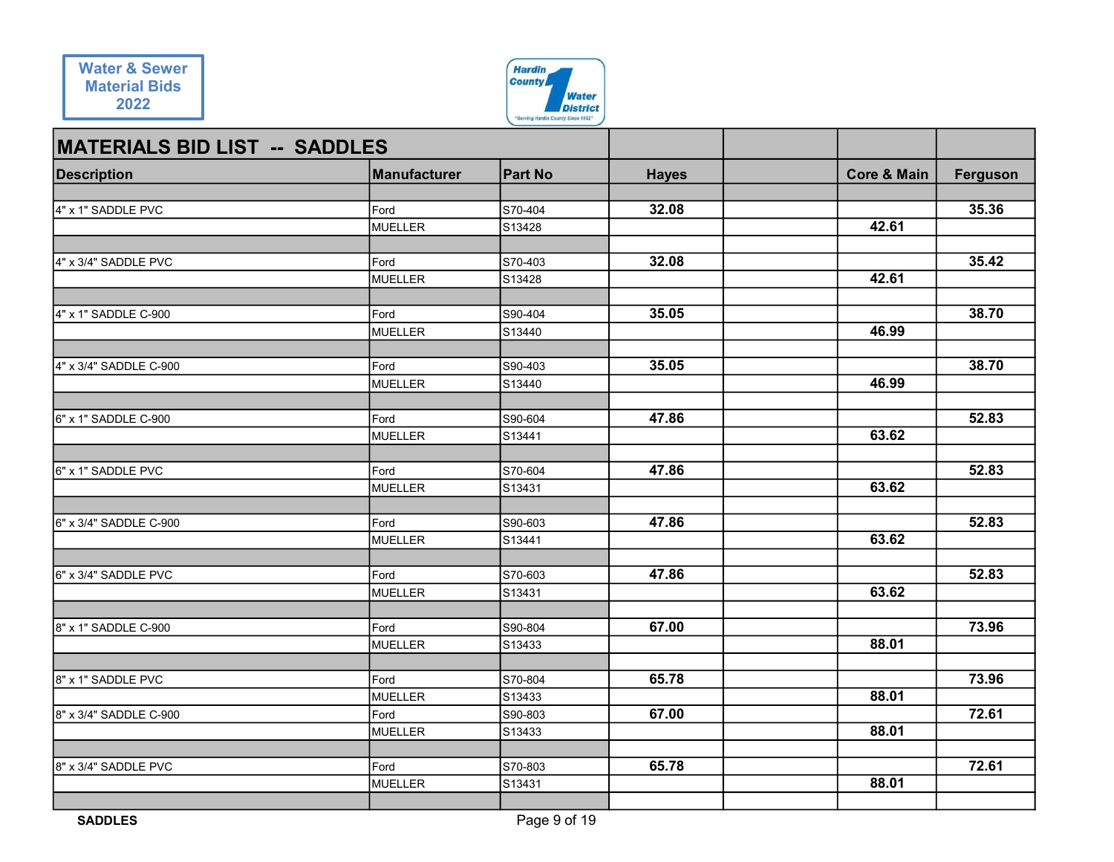

|                                      | <b>County</b>                                                                                                                                                          |                                                                                                                                                                                                            |                                                                                                |                                                                     |
|--------------------------------------|------------------------------------------------------------------------------------------------------------------------------------------------------------------------|------------------------------------------------------------------------------------------------------------------------------------------------------------------------------------------------------------|------------------------------------------------------------------------------------------------|---------------------------------------------------------------------|
|                                      | <b>Water</b>                                                                                                                                                           |                                                                                                                                                                                                            |                                                                                                |                                                                     |
|                                      | "Serving Hardin County Since 1952"                                                                                                                                     |                                                                                                                                                                                                            |                                                                                                |                                                                     |
| <b>MATERIALS BID LIST -- SADDLES</b> |                                                                                                                                                                        |                                                                                                                                                                                                            |                                                                                                |                                                                     |
|                                      |                                                                                                                                                                        |                                                                                                                                                                                                            |                                                                                                | Ferguson                                                            |
|                                      |                                                                                                                                                                        |                                                                                                                                                                                                            |                                                                                                |                                                                     |
| Ford                                 | S70-404                                                                                                                                                                | 32.08                                                                                                                                                                                                      |                                                                                                | 35.36                                                               |
|                                      |                                                                                                                                                                        |                                                                                                                                                                                                            |                                                                                                |                                                                     |
|                                      |                                                                                                                                                                        |                                                                                                                                                                                                            |                                                                                                | 35.42                                                               |
| MUELLER                              | S13428                                                                                                                                                                 |                                                                                                                                                                                                            | 42.61                                                                                          |                                                                     |
|                                      |                                                                                                                                                                        |                                                                                                                                                                                                            |                                                                                                |                                                                     |
|                                      |                                                                                                                                                                        |                                                                                                                                                                                                            |                                                                                                | 38.70                                                               |
|                                      |                                                                                                                                                                        |                                                                                                                                                                                                            |                                                                                                |                                                                     |
| Ford                                 | S90-403                                                                                                                                                                | 35.05                                                                                                                                                                                                      |                                                                                                | 38.70                                                               |
| MUELLER                              | S13440                                                                                                                                                                 |                                                                                                                                                                                                            | 46.99                                                                                          |                                                                     |
|                                      |                                                                                                                                                                        |                                                                                                                                                                                                            |                                                                                                | 52.83                                                               |
|                                      |                                                                                                                                                                        |                                                                                                                                                                                                            |                                                                                                |                                                                     |
|                                      |                                                                                                                                                                        |                                                                                                                                                                                                            |                                                                                                |                                                                     |
| Ford                                 | S70-604                                                                                                                                                                | 47.86                                                                                                                                                                                                      |                                                                                                | 52.83                                                               |
|                                      |                                                                                                                                                                        |                                                                                                                                                                                                            |                                                                                                |                                                                     |
|                                      |                                                                                                                                                                        |                                                                                                                                                                                                            |                                                                                                | 52.83                                                               |
| MUELLER                              | S13441                                                                                                                                                                 |                                                                                                                                                                                                            | 63.62                                                                                          |                                                                     |
|                                      |                                                                                                                                                                        |                                                                                                                                                                                                            |                                                                                                |                                                                     |
|                                      |                                                                                                                                                                        |                                                                                                                                                                                                            |                                                                                                | 52.83                                                               |
|                                      |                                                                                                                                                                        |                                                                                                                                                                                                            |                                                                                                |                                                                     |
| Ford                                 | S90-804                                                                                                                                                                | 67.00                                                                                                                                                                                                      |                                                                                                | 73.96                                                               |
| MUELLER                              | S <sub>13433</sub>                                                                                                                                                     |                                                                                                                                                                                                            | 88.01                                                                                          |                                                                     |
|                                      |                                                                                                                                                                        |                                                                                                                                                                                                            |                                                                                                | 73.96                                                               |
|                                      |                                                                                                                                                                        |                                                                                                                                                                                                            | 88.01                                                                                          |                                                                     |
| Ford                                 | S90-803                                                                                                                                                                | 67.00                                                                                                                                                                                                      |                                                                                                | 72.61                                                               |
| <b>MUELLER</b>                       | S <sub>13433</sub>                                                                                                                                                     |                                                                                                                                                                                                            | 88.01                                                                                          |                                                                     |
|                                      |                                                                                                                                                                        |                                                                                                                                                                                                            |                                                                                                | 72.61                                                               |
|                                      |                                                                                                                                                                        |                                                                                                                                                                                                            | 88.01                                                                                          |                                                                     |
|                                      |                                                                                                                                                                        |                                                                                                                                                                                                            |                                                                                                |                                                                     |
|                                      | Manufacturer<br>MUELLER<br>Ford<br>Ford<br>MUELLER<br>Ford<br>MUELLER<br><b>MUELLER</b><br>Ford<br>Ford<br>MUELLER<br>Ford<br><b>MUELLER</b><br>Ford<br><b>MUELLER</b> | <b>Hardin</b><br><b>Part No</b><br>S13428<br>S70-403<br>S90-404<br>S <sub>13440</sub><br>S90-604<br>S13441<br>S13431<br>S90-603<br>S70-603<br>S13431<br>S70-804<br>S <sub>13433</sub><br>S70-803<br>S13431 | <b>District</b><br><b>Hayes</b><br>32.08<br>35.05<br>47.86<br>47.86<br>47.86<br>65.78<br>65.78 | <b>Core &amp; Main</b><br>42.61<br>46.99<br>63.62<br>63.62<br>63.62 |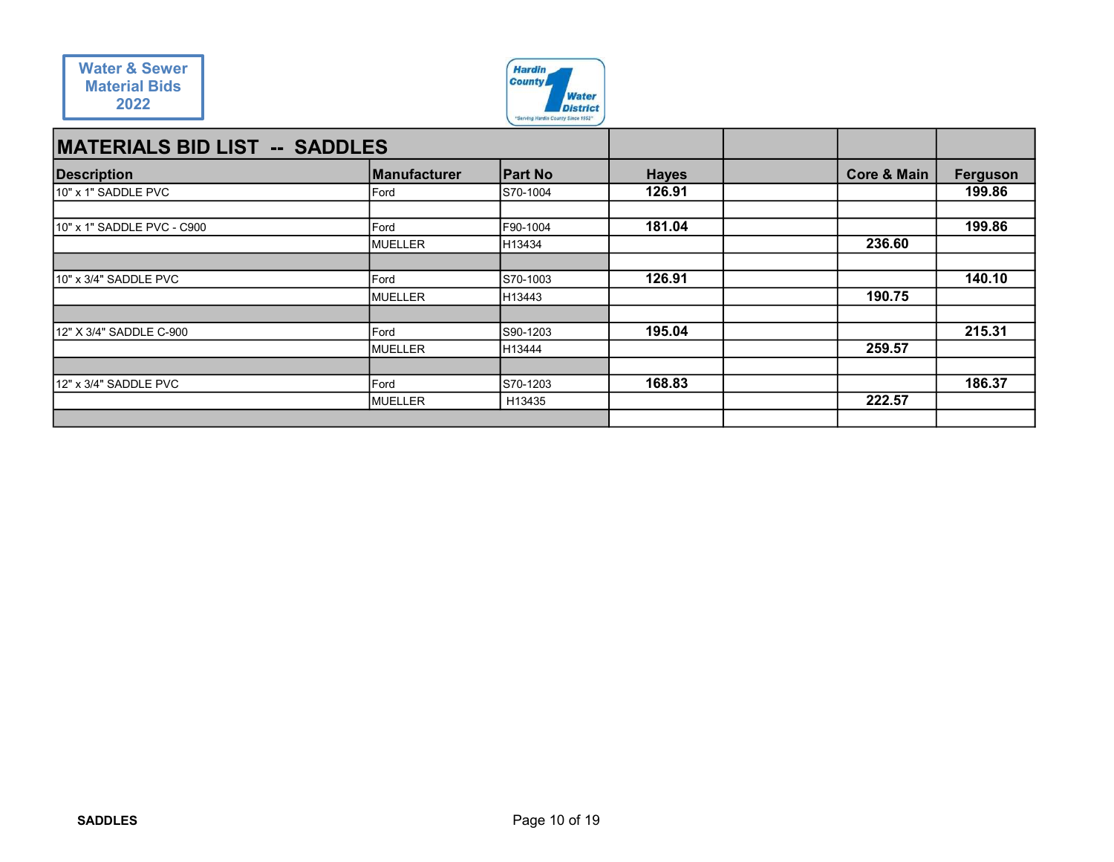

| <b>Water &amp; Sewer</b><br><b>Material Bids</b> |                 | <b>Hardin</b><br><b>County</b>     |              |                        |          |
|--------------------------------------------------|-----------------|------------------------------------|--------------|------------------------|----------|
| 2022                                             |                 | <b>Water</b><br><b>District</b>    |              |                        |          |
|                                                  |                 |                                    |              |                        |          |
|                                                  |                 | "Serving Hardin County Since 1952" |              |                        |          |
| <b>MATERIALS BID LIST -- SADDLES</b>             |                 |                                    |              |                        |          |
| <b>Description</b>                               | Manufacturer    | <b>Part No</b>                     | <b>Hayes</b> | <b>Core &amp; Main</b> | Ferguson |
| 10" x 1" SADDLE PVC                              | Ford            | S70-1004                           | 126.91       |                        | 199.86   |
|                                                  |                 |                                    |              |                        |          |
| 10" x 1" SADDLE PVC - C900                       | Ford            | F90-1004                           | 181.04       |                        | 199.86   |
|                                                  | MUELLER         | H13434                             |              | 236.60                 |          |
| 10" x 3/4" SADDLE PVC                            | Ford            | S70-1003                           | 126.91       |                        | 140.10   |
|                                                  | MUELLER         | H13443                             |              | 190.75                 |          |
|                                                  |                 |                                    |              |                        |          |
| 12" X 3/4" SADDLE C-900                          | Ford<br>MUELLER | S90-1203<br>H13444                 | 195.04       | 259.57                 | 215.31   |
|                                                  |                 |                                    |              |                        |          |
| 12" x 3/4" SADDLE PVC                            | Ford<br>MUELLER | S70-1203<br>H13435                 | 168.83       | 222.57                 | 186.37   |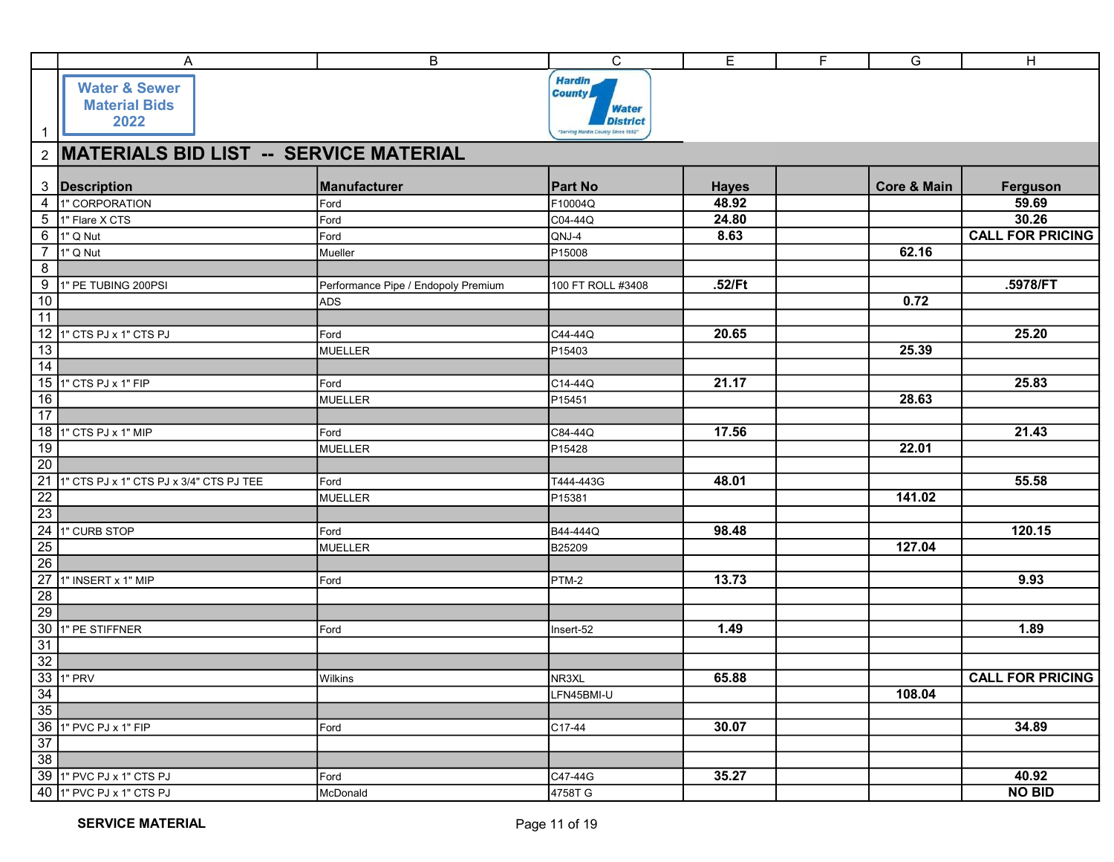|                       | A                                          | B                                   | $\mathsf C$                        | E            | $\overline{F}$ | G                      | $\overline{H}$          |
|-----------------------|--------------------------------------------|-------------------------------------|------------------------------------|--------------|----------------|------------------------|-------------------------|
|                       | <b>Water &amp; Sewer</b>                   |                                     | <b>Hardin</b>                      |              |                |                        |                         |
|                       | <b>Material Bids</b>                       |                                     | <b>County</b>                      |              |                |                        |                         |
|                       | 2022                                       |                                     | <b>Water</b><br><b>District</b>    |              |                |                        |                         |
| $\mathbf{1}$          |                                            |                                     | "Serving Hardin County Since 1952" |              |                |                        |                         |
|                       | 2 MATERIALS BID LIST -- SERVICE MATERIAL   |                                     |                                    |              |                |                        |                         |
|                       |                                            |                                     |                                    |              |                |                        |                         |
|                       | 3 Description                              | Manufacturer                        | <b>Part No</b>                     | <b>Hayes</b> |                | <b>Core &amp; Main</b> | Ferguson                |
|                       | 4 1" CORPORATION                           | Ford                                | F10004Q                            | 48.92        |                |                        | 59.69                   |
|                       | 5 1" Flare X CTS                           | Ford                                | C04-44Q                            | 24.80        |                |                        | 30.26                   |
|                       | 6 1" Q Nut                                 | Ford                                | QNJ-4                              | 8.63         |                |                        | <b>CALL FOR PRICING</b> |
| $\overline{7}$        | 1" Q Nut                                   | Mueller                             | P <sub>15008</sub>                 |              |                | 62.16                  |                         |
| $\overline{8}$        |                                            |                                     |                                    |              |                |                        |                         |
| 9                     | 1" PE TUBING 200PSI                        | Performance Pipe / Endopoly Premium | 100 FT ROLL #3408                  | .52/Ft       |                |                        | .5978/FT                |
| 10                    |                                            | <b>ADS</b>                          |                                    |              |                | 0.72                   |                         |
| 11                    |                                            |                                     |                                    |              |                |                        |                         |
|                       | 12 1" CTS PJ x 1" CTS PJ                   | Ford                                | C44-44Q                            | 20.65        |                |                        | 25.20                   |
| 13                    |                                            | <b>MUELLER</b>                      | P <sub>15403</sub>                 |              |                | 25.39                  |                         |
| $\overline{14}$       |                                            |                                     |                                    |              |                |                        |                         |
|                       | 15 1" CTS PJ x 1" FIP                      | Ford                                | $\overline{C}$ 14-44Q              | 21.17        |                |                        | 25.83                   |
| $\overline{16}$       |                                            | <b>MUELLER</b>                      | P15451                             |              |                | 28.63                  |                         |
| $\overline{17}$       |                                            |                                     |                                    |              |                |                        |                         |
|                       | 18 1" CTS PJ x 1" MIP                      | Ford                                | C84-44Q                            | 17.56        |                |                        | 21.43                   |
| 19<br>$\overline{20}$ |                                            | <b>MUELLER</b>                      | P15428                             |              |                | 22.01                  |                         |
|                       | 21 1" CTS PJ x 1" CTS PJ x 3/4" CTS PJ TEE | Ford                                | T444-443G                          | 48.01        |                |                        | 55.58                   |
|                       |                                            | MUELLER                             | P15381                             |              |                | 141.02                 |                         |
| $\frac{22}{23}$       |                                            |                                     |                                    |              |                |                        |                         |
|                       | 24 1" CURB STOP                            | Ford                                | B44-444Q                           | 98.48        |                |                        | 120.15                  |
| 25                    |                                            | MUELLER                             | B25209                             |              |                | 127.04                 |                         |
| 26                    |                                            |                                     |                                    |              |                |                        |                         |
|                       | 27 1" INSERT x 1" MIP                      | Ford                                | PTM-2                              | 13.73        |                |                        | 9.93                    |
| $\overline{28}$       |                                            |                                     |                                    |              |                |                        |                         |
| $\overline{29}$       |                                            |                                     |                                    |              |                |                        |                         |
|                       | 30 1" PE STIFFNER                          | Ford                                | Insert-52                          | 1.49         |                |                        | 1.89                    |
| $\frac{31}{32}$       |                                            |                                     |                                    |              |                |                        |                         |
|                       |                                            |                                     |                                    |              |                |                        |                         |
|                       | 33 1" PRV                                  | Wilkins                             | NR3XL                              | 65.88        |                |                        | <b>CALL FOR PRICING</b> |
| $\overline{34}$       |                                            |                                     | LFN45BMI-U                         |              |                | 108.04                 |                         |
| $\overline{35}$       |                                            |                                     |                                    |              |                |                        |                         |
| $\overline{37}$       | 36 1" PVC PJ x 1" FIP                      | Ford                                | C17-44                             | 30.07        |                |                        | 34.89                   |
| $\overline{38}$       |                                            |                                     |                                    |              |                |                        |                         |
|                       | 39 1" PVC PJ x 1" CTS PJ                   | Ford                                | C47-44G                            | 35.27        |                |                        | 40.92                   |
|                       | 40 1" PVC PJ x 1" CTS PJ                   | McDonald                            | 4758T G                            |              |                |                        | <b>NO BID</b>           |
|                       |                                            |                                     |                                    |              |                |                        |                         |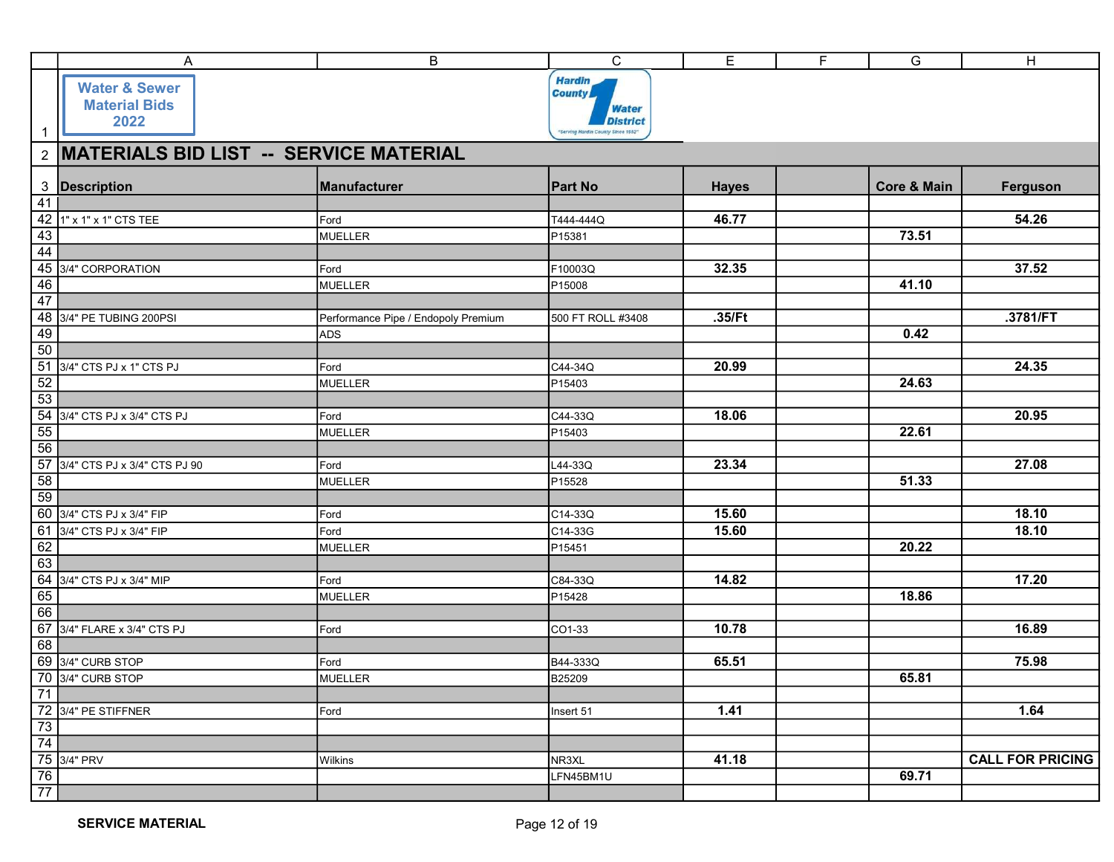|                       | Α                                                                              | $\sf B$                             | $\mathbf C$                        | E                  | F | G                      | H                       |
|-----------------------|--------------------------------------------------------------------------------|-------------------------------------|------------------------------------|--------------------|---|------------------------|-------------------------|
|                       |                                                                                |                                     | <b>Hardin</b>                      |                    |   |                        |                         |
|                       | <b>Water &amp; Sewer</b>                                                       |                                     | <b>County</b>                      |                    |   |                        |                         |
|                       | <b>Material Bids</b><br>2022                                                   |                                     | <b>Water</b><br><b>District</b>    |                    |   |                        |                         |
| $\mathbf{1}$          |                                                                                |                                     | "Serving Hardin County Since 1952" |                    |   |                        |                         |
|                       | 2 MATERIALS BID LIST -- SERVICE MATERIAL                                       |                                     |                                    |                    |   |                        |                         |
|                       | 3 Description                                                                  | Manufacturer                        | <b>Part No</b>                     | <b>Hayes</b>       |   | <b>Core &amp; Main</b> | Ferguson                |
| 41                    |                                                                                |                                     |                                    |                    |   |                        |                         |
|                       | 42 1" x 1" x 1" CTS TEE                                                        | Ford                                | T444-444Q                          | 46.77              |   |                        | 54.26                   |
| $\overline{43}$       |                                                                                | <b>MUELLER</b>                      | P15381                             |                    |   | 73.51                  |                         |
| $\overline{44}$       |                                                                                |                                     |                                    |                    |   |                        | 37.52                   |
| 46                    | 45 3/4" CORPORATION                                                            | Ford<br><b>MUELLER</b>              | F10003Q<br>P <sub>15008</sub>      | 32.35              |   | 41.10                  |                         |
| $\overline{47}$       |                                                                                |                                     |                                    |                    |   |                        |                         |
|                       | 48 3/4" PE TUBING 200PSI                                                       | Performance Pipe / Endopoly Premium | 500 FT ROLL #3408                  | .35/Ft             |   |                        | .3781/FT                |
| 49                    |                                                                                | <b>ADS</b>                          |                                    |                    |   | 0.42                   |                         |
|                       | 50<br>51 3/4" CTS PJ x 1" CTS PJ                                               |                                     |                                    |                    |   |                        |                         |
|                       |                                                                                | Ford<br><b>MUELLER</b>              | C44-34Q<br>P15403                  | $\overline{20.99}$ |   | $\overline{24.63}$     | 24.35                   |
| $\frac{52}{53}$       |                                                                                |                                     |                                    |                    |   |                        |                         |
|                       | 54 3/4" CTS PJ x 3/4" CTS PJ                                                   | Ford                                | C44-33Q                            | 18.06              |   |                        | 20.95                   |
| $\frac{55}{56}$       |                                                                                | <b>MUELLER</b>                      | P <sub>15403</sub>                 |                    |   | 22.61                  |                         |
|                       |                                                                                |                                     |                                    |                    |   |                        |                         |
|                       | 57 3/4" CTS PJ x 3/4" CTS PJ 90                                                | Ford                                | L44-33Q                            | 23.34              |   |                        | 27.08                   |
| 58<br>$\overline{59}$ |                                                                                | MUELLER                             | P15528                             |                    |   | 51.33                  |                         |
|                       | 60 3/4" CTS PJ x 3/4" FIP                                                      | Ford                                | C14-33Q                            | 15.60              |   |                        | 18.10                   |
|                       | 61 3/4" CTS PJ x 3/4" FIP                                                      | Ford                                | C14-33G                            | 15.60              |   |                        | 18.10                   |
| $\frac{62}{63}$       |                                                                                | MUELLER                             | P15451                             |                    |   | 20.22                  |                         |
|                       |                                                                                |                                     |                                    | 14.82              |   |                        | 17.20                   |
| 65                    | 64 3/4" CTS PJ x 3/4" MIP                                                      | Ford<br><b>MUELLER</b>              | C84-33Q<br>P <sub>15428</sub>      |                    |   | 18.86                  |                         |
| 66                    |                                                                                |                                     |                                    |                    |   |                        |                         |
|                       | 67 3/4" FLARE x 3/4" CTS PJ                                                    | Ford                                | CO1-33                             | 10.78              |   |                        | 16.89                   |
| 68                    |                                                                                |                                     |                                    |                    |   |                        |                         |
|                       | 69 3/4" CURB STOP                                                              | Ford                                | B44-333Q                           | 65.51              |   |                        | 75.98                   |
| $\overline{71}$       | 70 3/4" CURB STOP                                                              | <b>MUELLER</b>                      | <b>B25209</b>                      |                    |   | 65.81                  |                         |
|                       | 72 3/4" PE STIFFNER                                                            | Ford                                | Insert 51                          | 1.41               |   |                        | 1.64                    |
|                       |                                                                                |                                     |                                    |                    |   |                        |                         |
|                       |                                                                                |                                     |                                    |                    |   |                        |                         |
|                       |                                                                                |                                     |                                    |                    |   |                        |                         |
|                       | $\begin{array}{r} 123 \times 123 \\ 73 \\ 74 \\ 753 \times 123 \\ \end{array}$ | Wilkins                             | NR3XL                              | 41.18              |   |                        | <b>CALL FOR PRICING</b> |
| $\frac{76}{77}$       |                                                                                |                                     | LFN45BM1U                          |                    |   | 69.71                  |                         |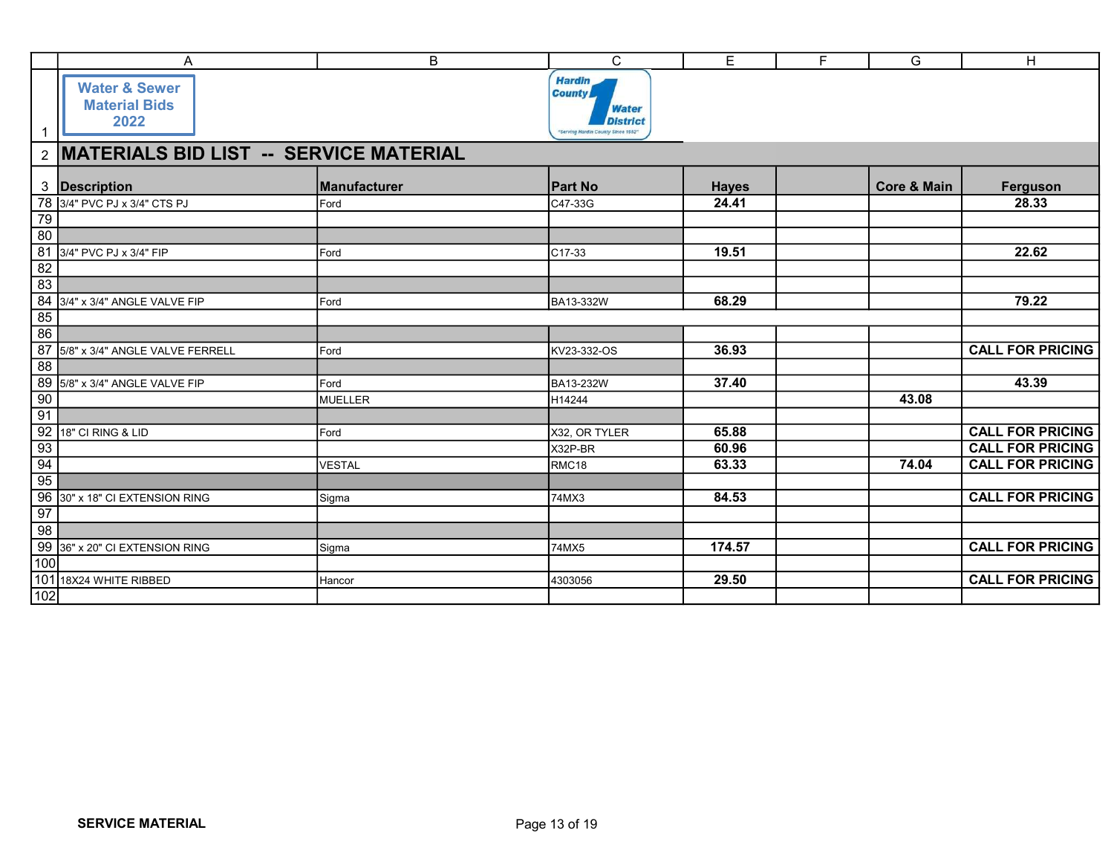|                                   |                                                                                                                                                                                                                                                                | B             | $\mathbf C$                                           | E            | F<br>$\overline{G}$    | H                       |
|-----------------------------------|----------------------------------------------------------------------------------------------------------------------------------------------------------------------------------------------------------------------------------------------------------------|---------------|-------------------------------------------------------|--------------|------------------------|-------------------------|
|                                   | A                                                                                                                                                                                                                                                              |               | <b>Hardin</b>                                         |              |                        |                         |
|                                   | <b>Water &amp; Sewer</b><br><b>Material Bids</b>                                                                                                                                                                                                               |               | <b>County</b><br><b>Water</b>                         |              |                        |                         |
| $\mathbf{1}$                      | 2022                                                                                                                                                                                                                                                           |               | <b>District</b><br>"Serving Hardin County Since 1952" |              |                        |                         |
|                                   | 2 MATERIALS BID LIST -- SERVICE MATERIAL                                                                                                                                                                                                                       |               |                                                       |              |                        |                         |
|                                   | 3 Description                                                                                                                                                                                                                                                  | Manufacturer  | <b>Part No</b>                                        | <b>Hayes</b> | <b>Core &amp; Main</b> | Ferguson                |
|                                   | 78 3/4" PVC PJ x 3/4" CTS PJ                                                                                                                                                                                                                                   | Ford          | C47-33G                                               | 24.41        |                        | 28.33                   |
| $\frac{1}{79}$                    |                                                                                                                                                                                                                                                                |               |                                                       |              |                        |                         |
| $\overline{80}$<br>$\frac{1}{81}$ | 3/4" PVC PJ x 3/4" FIP                                                                                                                                                                                                                                         | Ford          | C17-33                                                | 19.51        |                        | 22.62                   |
| $\frac{1}{82}$                    |                                                                                                                                                                                                                                                                |               |                                                       |              |                        |                         |
|                                   |                                                                                                                                                                                                                                                                |               |                                                       |              |                        |                         |
| $\frac{1}{83}$                    |                                                                                                                                                                                                                                                                |               |                                                       |              |                        |                         |
|                                   |                                                                                                                                                                                                                                                                | Ford          | BA13-332W                                             | 68.29        |                        | 79.22                   |
| $\overline{85}$                   | 84 3/4" x 3/4" ANGLE VALVE FIP                                                                                                                                                                                                                                 |               |                                                       |              |                        |                         |
| 86                                |                                                                                                                                                                                                                                                                |               |                                                       |              |                        |                         |
|                                   |                                                                                                                                                                                                                                                                | Ford          | KV23-332-OS                                           | 36.93        |                        | <b>CALL FOR PRICING</b> |
|                                   |                                                                                                                                                                                                                                                                | Ford          | <b>BA13-232W</b>                                      | 37.40        |                        | 43.39                   |
|                                   |                                                                                                                                                                                                                                                                | MUELLER       | H14244                                                |              | 43.08                  |                         |
|                                   |                                                                                                                                                                                                                                                                |               |                                                       |              |                        |                         |
|                                   |                                                                                                                                                                                                                                                                | Ford          | X32, OR TYLER                                         | 65.88        |                        | <b>CALL FOR PRICING</b> |
|                                   |                                                                                                                                                                                                                                                                |               | X32P-BR                                               | 60.96        |                        | <b>CALL FOR PRICING</b> |
|                                   |                                                                                                                                                                                                                                                                | <b>VESTAL</b> | RMC18                                                 | 63.33        | 74.04                  | <b>CALL FOR PRICING</b> |
|                                   |                                                                                                                                                                                                                                                                |               |                                                       |              |                        |                         |
|                                   |                                                                                                                                                                                                                                                                | Sigma         | 74MX3                                                 | 84.53        |                        | <b>CALL FOR PRICING</b> |
|                                   |                                                                                                                                                                                                                                                                |               |                                                       |              |                        |                         |
|                                   |                                                                                                                                                                                                                                                                |               |                                                       |              |                        |                         |
|                                   |                                                                                                                                                                                                                                                                | Sigma         | 74MX5                                                 | 174.57       |                        | <b>CALL FOR PRICING</b> |
|                                   | 86<br>87 5/8" x 3/4" ANGLE VALVE FERRELL<br>88<br>89 5/8" x 3/4" ANGLE VALVE FIP<br>90<br>91<br>92 18" CI RING & LID<br>93<br>94<br>95<br>96 30" x 18" CI EXTENSION RING<br>97<br>98<br>99 36" x 20" CI EXTENSION RING<br>100<br>101 18X24 WHITE RIBBED<br>102 | Hancor        | 4303056                                               | 29.50        |                        | <b>CALL FOR PRICING</b> |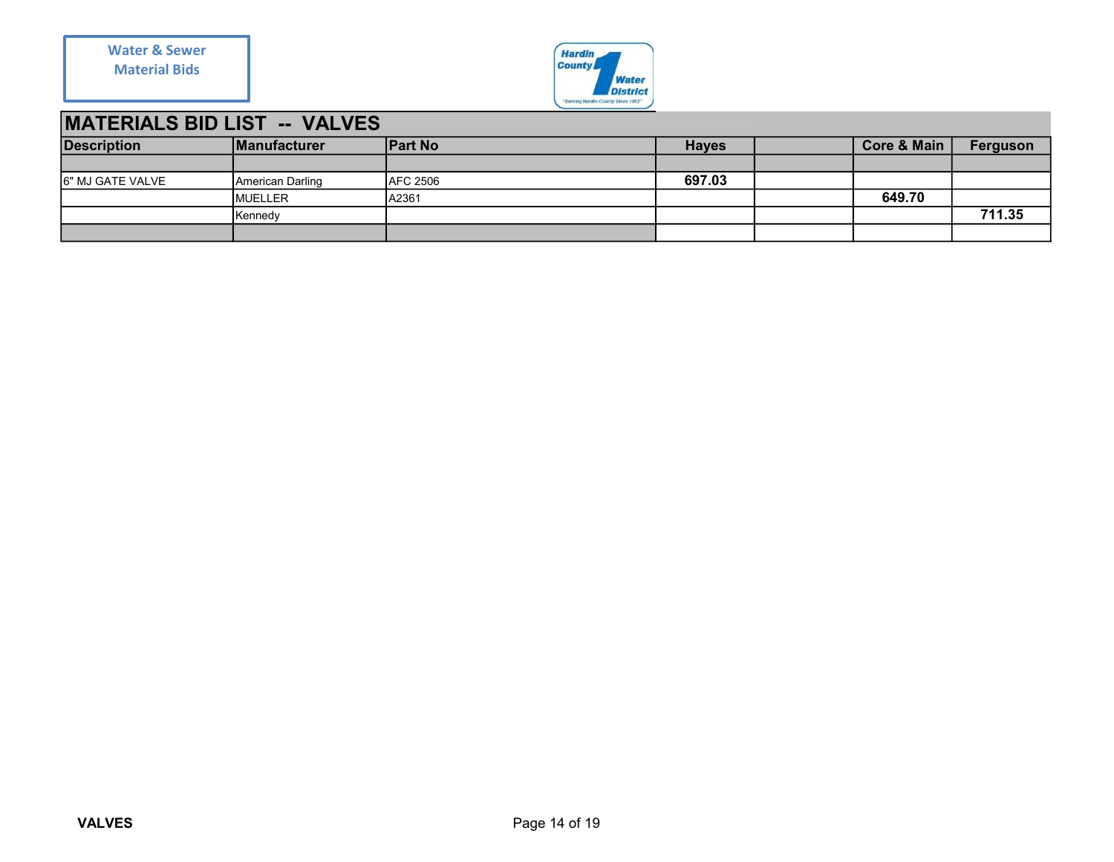

## MATERIALS BID LIST -- VALVES

| <b>Water &amp; Sewer</b>            |                  |                 | Hardin<br>County                                      |              |                        |          |
|-------------------------------------|------------------|-----------------|-------------------------------------------------------|--------------|------------------------|----------|
| <b>Material Bids</b>                |                  |                 | <b>Water</b>                                          |              |                        |          |
|                                     |                  |                 | <b>District</b><br>"Serving Hardin County Since 1952" |              |                        |          |
|                                     |                  |                 |                                                       |              |                        |          |
| <b>MATERIALS BID LIST -- VALVES</b> |                  |                 |                                                       |              |                        |          |
| <b>Description</b>                  | Manufacturer     | <b>Part No</b>  |                                                       | <b>Hayes</b> | <b>Core &amp; Main</b> | Ferguson |
|                                     |                  |                 |                                                       |              |                        |          |
| 6" MJ GATE VALVE                    | American Darling | <b>AFC 2506</b> |                                                       | 697.03       |                        |          |
|                                     |                  |                 |                                                       |              |                        |          |
|                                     | MUELLER          | A2361           |                                                       |              | 649.70                 |          |
|                                     | Kennedy          |                 |                                                       |              |                        | 711.35   |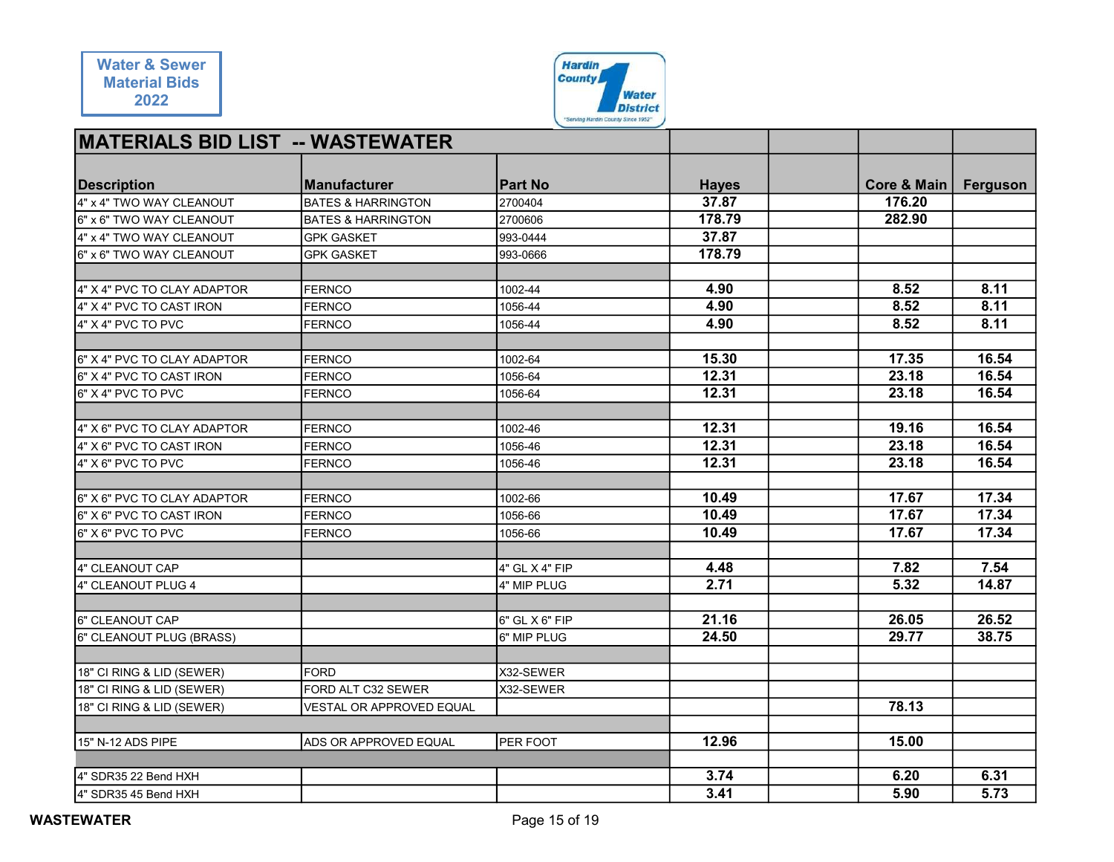| <b>Water &amp; Sewer</b>                     |                               | <b>Hardin</b>                      |                 |             |          |
|----------------------------------------------|-------------------------------|------------------------------------|-----------------|-------------|----------|
| <b>Material Bids</b>                         |                               | <b>County</b>                      |                 |             |          |
| 2022                                         |                               |                                    | <b>Water</b>    |             |          |
|                                              |                               | "Serving Hardin County Since 1952" | <b>District</b> |             |          |
|                                              |                               |                                    |                 |             |          |
| <b>MATERIALS BID LIST -- WASTEWATER</b>      |                               |                                    |                 |             |          |
|                                              |                               |                                    |                 |             |          |
| <b>Description</b>                           | <b>Manufacturer</b>           | <b>Part No</b>                     | <b>Hayes</b>    | Core & Main | Ferguson |
| 4" x 4" TWO WAY CLEANOUT                     | <b>BATES &amp; HARRINGTON</b> | 2700404                            | 37.87           | 176.20      |          |
| 6" x 6" TWO WAY CLEANOUT                     | <b>BATES &amp; HARRINGTON</b> | 2700606                            | 178.79          | 282.90      |          |
| 4" x 4" TWO WAY CLEANOUT                     | <b>GPK GASKET</b>             | 993-0444                           | 37.87           |             |          |
| 6" x 6" TWO WAY CLEANOUT                     | <b>GPK GASKET</b>             | 993-0666                           | 178.79          |             |          |
|                                              |                               |                                    |                 |             |          |
| 4" X 4" PVC TO CLAY ADAPTOR                  | <b>FERNCO</b>                 | 1002-44                            | 4.90            | 8.52        | 8.11     |
| 4" X 4" PVC TO CAST IRON                     | <b>FERNCO</b>                 | 1056-44                            | 4.90            | 8.52        | 8.11     |
| 4" X 4" PVC TO PVC                           | <b>FERNCO</b>                 | 1056-44                            | 4.90            | 8.52        | 8.11     |
|                                              |                               |                                    |                 |             |          |
| 6" X 4" PVC TO CLAY ADAPTOR                  | <b>FERNCO</b>                 | 1002-64                            | 15.30           | 17.35       | 16.54    |
| 6" X 4" PVC TO CAST IRON                     | <b>FERNCO</b>                 | 1056-64                            | 12.31           | 23.18       | 16.54    |
| 6" X 4" PVC TO PVC                           | <b>FERNCO</b>                 | 1056-64                            | 12.31           | 23.18       | 16.54    |
|                                              |                               |                                    |                 |             |          |
| 4" X 6" PVC TO CLAY ADAPTOR                  | <b>FERNCO</b>                 | 1002-46                            | 12.31           | 19.16       | 16.54    |
| 4" X 6" PVC TO CAST IRON                     | <b>FERNCO</b>                 | 1056-46                            | 12.31           | 23.18       | 16.54    |
| 4" X 6" PVC TO PVC                           | <b>FERNCO</b>                 | 1056-46                            | 12.31           | 23.18       | 16.54    |
|                                              |                               |                                    |                 |             |          |
| 6" X 6" PVC TO CLAY ADAPTOR                  | <b>FERNCO</b>                 | 1002-66                            | 10.49           | 17.67       | 17.34    |
| 6" X 6" PVC TO CAST IRON                     | <b>FERNCO</b>                 | 1056-66                            | 10.49           | 17.67       | 17.34    |
| 6" X 6" PVC TO PVC                           | <b>FERNCO</b>                 | 1056-66                            | 10.49           | 17.67       | 17.34    |
|                                              |                               |                                    |                 |             |          |
| 4" CLEANOUT CAP                              |                               | 4" GL X 4" FIP                     | 4.48            | 7.82        | 7.54     |
| 4" CLEANOUT PLUG 4                           |                               | 4" MIP PLUG                        | 2.71            | 5.32        | 14.87    |
|                                              |                               |                                    |                 |             |          |
| 6" CLEANOUT CAP                              |                               | $6"$ GL X $6"$ FIP                 | 21.16           | 26.05       | 26.52    |
| 6" CLEANOUT PLUG (BRASS)                     |                               | 6" MIP PLUG                        | 24.50           | 29.77       | 38.75    |
|                                              |                               |                                    |                 |             |          |
| 18" CI RING & LID (SEWER)                    | <b>FORD</b>                   | X32-SEWER                          |                 |             |          |
| 18" CI RING & LID (SEWER)                    | FORD ALT C32 SEWER            | X32-SEWER                          |                 |             |          |
| 18" CI RING & LID (SEWER)                    | VESTAL OR APPROVED EQUAL      |                                    |                 | 78.13       |          |
|                                              |                               |                                    | 12.96           | 15.00       |          |
| 15" N-12 ADS PIPE                            | ADS OR APPROVED EQUAL         | <b>PER FOOT</b>                    |                 |             |          |
|                                              |                               |                                    | 3.74            | 6.20        | 6.31     |
|                                              |                               |                                    |                 |             |          |
| 4" SDR35 22 Bend HXH<br>4" SDR35 45 Bend HXH |                               |                                    | 3.41            | 5.90        | 5.73     |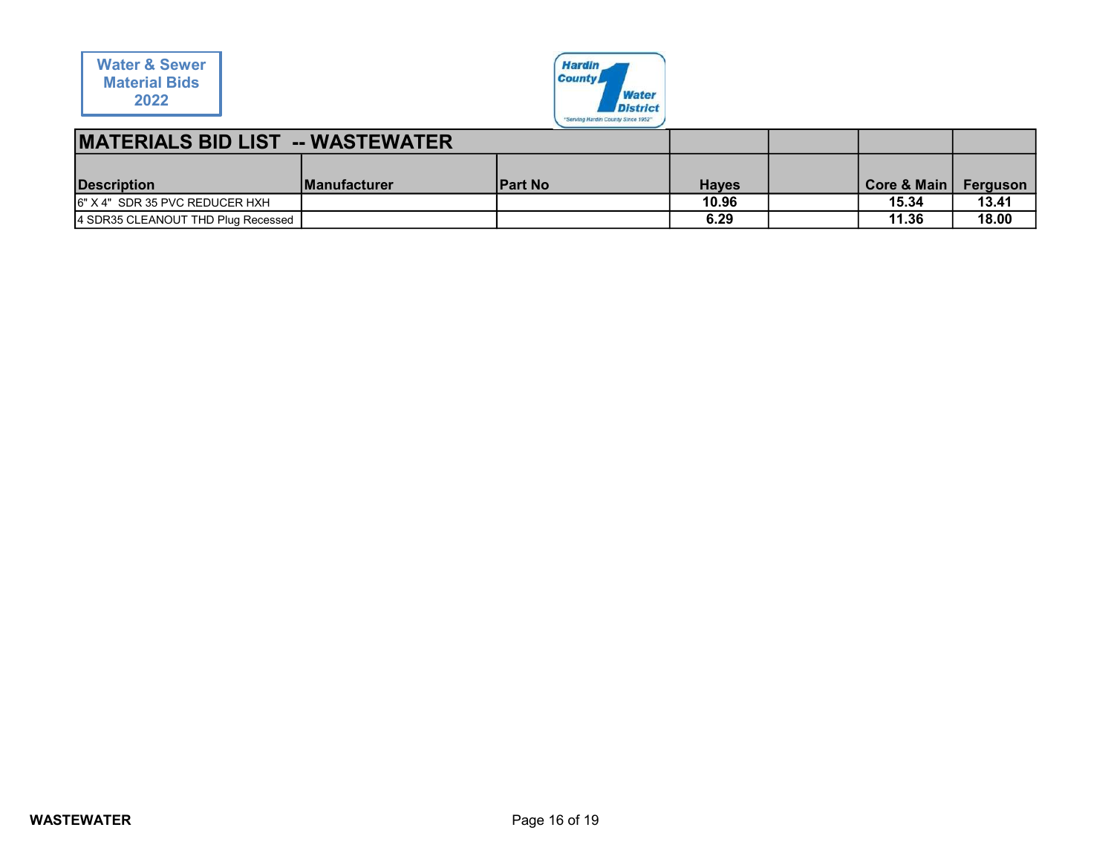

| <b>Water &amp; Sewer</b><br><b>Material Bids</b> |              | <b>Hardin</b><br><b>County</b>     |              |                        |          |
|--------------------------------------------------|--------------|------------------------------------|--------------|------------------------|----------|
| 2022                                             |              | <b>Water</b><br><b>District</b>    |              |                        |          |
|                                                  |              | "Serving Hardin County Since 1952" |              |                        |          |
| <b>MATERIALS BID LIST -- WASTEWATER</b>          |              |                                    |              |                        |          |
|                                                  |              |                                    |              |                        |          |
| <b>Description</b>                               | Manufacturer | <b>Part No</b>                     | <b>Hayes</b> | <b>Core &amp; Main</b> | Ferguson |
| 6" X 4" SDR 35 PVC REDUCER HXH                   |              |                                    | 10.96        | 15.34                  | 13.41    |
| 4 SDR35 CLEANOUT THD Plug Recessed               |              |                                    | 6.29         | 11.36                  | 18.00    |